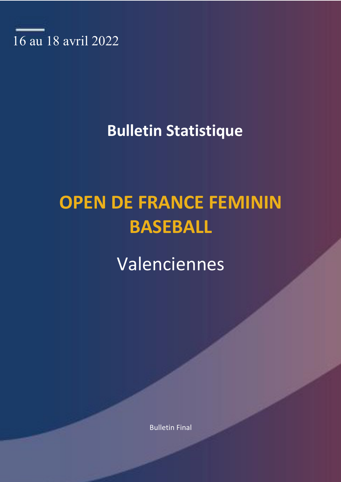

**Bulletin Statistique**

# **OPEN DE FRANCE FEMININ BASEBALL**

Valenciennes

Bulletin Final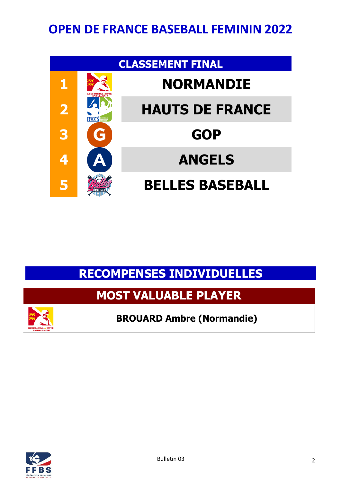

## **RECOMPENSES INDIVIDUELLES**

### **MOST VALUABLE PLAYER**



### **BROUARD Ambre (Normandie)**

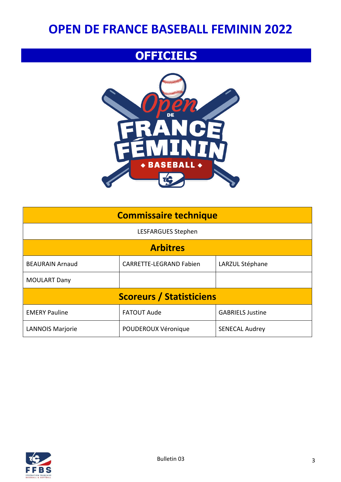### **OFFICIELS**



| <b>Commissaire technique</b> |                                 |                         |  |  |  |
|------------------------------|---------------------------------|-------------------------|--|--|--|
| LESFARGUES Stephen           |                                 |                         |  |  |  |
| <b>Arbitres</b>              |                                 |                         |  |  |  |
| <b>BEAURAIN Arnaud</b>       | <b>CARRETTE-LEGRAND Fabien</b>  | LARZUL Stéphane         |  |  |  |
| <b>MOULART Dany</b>          |                                 |                         |  |  |  |
|                              | <b>Scoreurs / Statisticiens</b> |                         |  |  |  |
| <b>EMERY Pauline</b>         | <b>FATOUT Aude</b>              | <b>GABRIELS Justine</b> |  |  |  |
| <b>LANNOIS Marjorie</b>      | POUDEROUX Véronique             | <b>SENECAL Audrey</b>   |  |  |  |

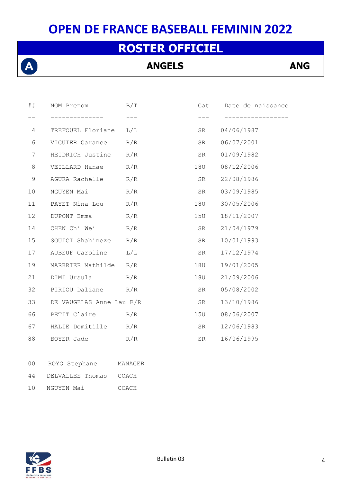### **ROSTER OFFICIEL**



**ANGELS ANG**

| ## | NOM Prenom               | B/T | Cat | Date de naissance |
|----|--------------------------|-----|-----|-------------------|
|    |                          |     |     |                   |
| 4  | TREFOUEL Floriane        | L/L | SR  | 04/06/1987        |
| 6  | VIGUIER Garance          | R/R | SR  | 06/07/2001        |
| 7  | HEIDRICH Justine         | R/R | SR  | 01/09/1982        |
| 8  | VEILLARD Hanae           | R/R | 18U | 08/12/2006        |
| 9  | AGURA Rachelle           | R/R | SR  | 22/08/1986        |
| 10 | NGUYEN Mai               | R/R | SR  | 03/09/1985        |
| 11 | PAYET Nina Lou           | R/R | 18U | 30/05/2006        |
| 12 | DUPONT Emma              | R/R | 15U | 18/11/2007        |
| 14 | CHEN Chi Wei             | R/R | SR  | 21/04/1979        |
| 15 | SOUICI Shahineze         | R/R | SR  | 10/01/1993        |
| 17 | AUBEUF Caroline          | L/L | SR  | 17/12/1974        |
| 19 | MARBRIER Mathilde        | R/R | 18U | 19/01/2005        |
| 21 | DIMI Ursula              | R/R | 18U | 21/09/2006        |
| 32 | PIRIOU Daliane           | R/R | SR  | 05/08/2002        |
| 33 | DE VAUGELAS Anne Lau R/R |     | SR  | 13/10/1986        |
| 66 | PETIT Claire R/R         |     | 15U | 08/06/2007        |
| 67 | HALIE Domitille R/R      |     | SR  | 12/06/1983        |
| 88 | BOYER Jade               | R/R | SR  | 16/06/1995        |
|    |                          |     |     |                   |

| O O | ROYO Stephane          | MANAGER |
|-----|------------------------|---------|
| 44  | DELVALLEE Thomas COACH |         |
| 1 N | NGUYEN Mai             | COACH   |

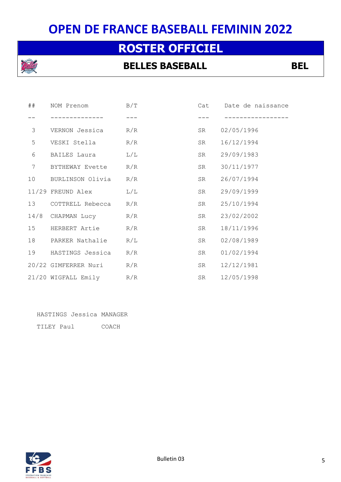### **ROSTER OFFICIEL**



### **BELLES BASEBALL BEL**

| ##   | NOM Prenom              | B/T | Cat | Date de naissance |
|------|-------------------------|-----|-----|-------------------|
|      |                         |     |     |                   |
| 3    | VERNON Jessica          | R/R | SR  | 02/05/1996        |
| 5    | VESKI Stella            | R/R | SR  | 16/12/1994        |
| 6    | BAILES Laura            | L/L | SR  | 29/09/1983        |
| 7    | BYTHEWAY Evette         | R/R | SR  | 30/11/1977        |
| 10   | BURLINSON Olivia        | R/R | SR  | 26/07/1994        |
|      | 11/29 FREUND Alex       | L/L | SR  | 29/09/1999        |
| 13   | COTTRELL Rebecca        | R/R | SR  | 25/10/1994        |
| 14/8 | CHAPMAN Lucy            | R/R | SR  | 23/02/2002        |
| 15   | HERBERT Artie           | R/R | SR  | 18/11/1996        |
| 18   | PARKER Nathalie         | R/L | SR  | 02/08/1989        |
| 19   | HASTINGS Jessica        | R/R | SR  | 01/02/1994        |
|      | 20/22 GIMFERRER Nuri    | R/R | SR  | 12/12/1981        |
|      | 21/20 WIGFALL Emily R/R |     | SR  | 12/05/1998        |

HASTINGS Jessica MANAGER

TILEY Paul COACH

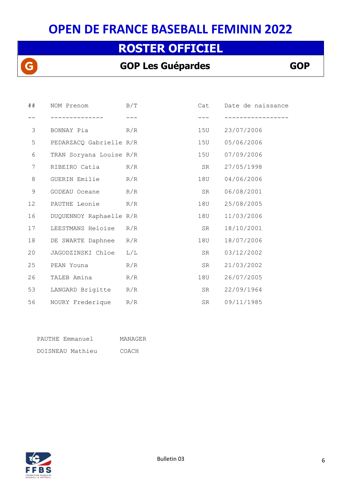### **ROSTER OFFICIEL**

### **GOP Les Guépardes GOP**

| ##             | NOM Prenom              | B/T | Cat | Date de naissance |
|----------------|-------------------------|-----|-----|-------------------|
|                |                         |     |     |                   |
| 3              | BONNAY Pia              | R/R | 15U | 23/07/2006        |
| 5              | PEDARZACQ Gabrielle R/R |     | 15U | 05/06/2006        |
| 6              | TRAN Soryana Louise R/R |     | 15U | 07/09/2006        |
| $\overline{7}$ | RIBEIRO Catia           | R/R | SR  | 27/05/1998        |
| 8              | GUERIN Emilie           | R/R | 180 | 04/06/2006        |
| $\mathsf 9$    | GODEAU Oceane           | R/R | SR  | 06/08/2001        |
| 12             | PAUTHE Leonie           | R/R | 18U | 25/08/2005        |
| 16             | DUQUENNOY Raphaelle R/R |     | 18U | 11/03/2006        |
| 17             | LEESTMANS Heloise       | R/R | SR  | 18/10/2001        |
| 18             | DE SWARTE Daphnee       | R/R | 180 | 18/07/2006        |
| 20             | JAGODZINSKI Chloe       | L/L | SR  | 03/12/2002        |
| 25             | PEAN Youna              | R/R | SR  | 21/03/2002        |
| 26             | TALEB Amina             | R/R | 180 | 26/07/2005        |
| 53             | LANGARD Brigitte        | R/R | SR  | 22/09/1964        |
| 56             | NOURY Frederique        | R/R | SR  | 09/11/1985        |

| PAUTHE Emmanuel  | MANAGER |
|------------------|---------|
| DOISNEAU Mathieu | COACH   |



G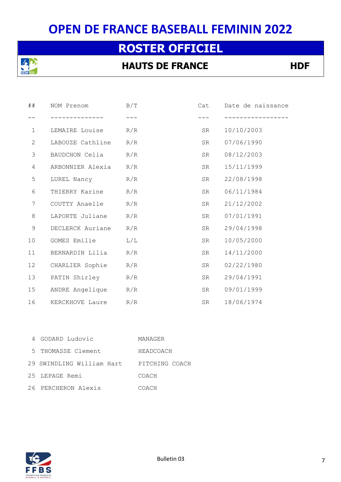### **ROSTER OFFICIEL**



### **HAUTS DE FRANCE HDF**

| ##           | NOM Prenom        | B/T | Cat | Date de naissance |
|--------------|-------------------|-----|-----|-------------------|
|              |                   |     |     |                   |
| $\mathbf{1}$ | LEMAIRE Louise    | R/R | SR  | 10/10/2003        |
| 2            | LABOUZE Cathline  | R/R | SR  | 07/06/1990        |
| 3            | BAUDCHON Celia    | R/R | SR  | 08/12/2003        |
| 4            | ARBONNIER Alexia  | R/R | SR  | 15/11/1999        |
| 5            | LUREL Nancy       | R/R | SR  | 22/08/1998        |
| 6            | THIERRY Karine    | R/R | SR  | 06/11/1984        |
| 7            | COUTTY Anaelle    | R/R | SR  | 21/12/2002        |
| 8            | LAPORTE Juliane   | R/R | SR  | 07/01/1991        |
| $\mathsf 9$  | DECLERCK Auriane  | R/R | SR  | 29/04/1998        |
| 10           | GOMES Emilie      | L/L | SR  | 10/05/2000        |
| 11           | BERNARDIN Lilia   | R/R | SR  | 14/11/2000        |
| 12           | CHARLIER Sophie   | R/R | SR  | 02/22/1980        |
| 13           | PATIN Shirley R/R |     | SR  | 29/04/1991        |
| 15           | ANDRE Angelique   | R/R | SR  | 09/01/1999        |
| 16           | KERCKHOVE Laure   | R/R | SR  | 18/06/1974        |

|  | 4 GODARD Ludovic          | MANAGER        |
|--|---------------------------|----------------|
|  | 5 THOMASSE Clement        | HEADCOACH      |
|  | 29 SWINDLING William Hart | PITCHING COACH |
|  | 25 LEPAGE Remi            | COACH          |
|  | 26 PERCHERON Alexis       | COACH          |

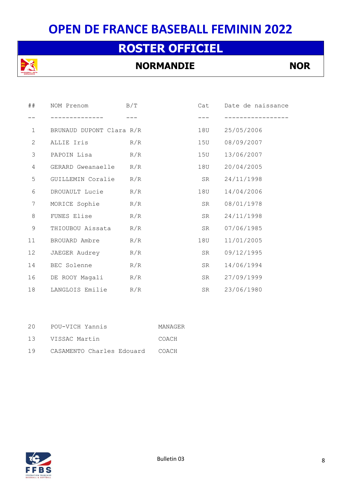### **ROSTER OFFICIEL**



### **NORMANDIE NOR**

| # #            | NOM Prenom               | B/T | Cat | Date de naissance |
|----------------|--------------------------|-----|-----|-------------------|
|                |                          |     |     |                   |
| $\mathbf{1}$   | BRUNAUD DUPONT Clara R/R |     | 18U | 25/05/2006        |
| $\mathbf{2}$   | ALLIE Iris               | R/R | 15U | 08/09/2007        |
| 3              | PAPOIN Lisa              | R/R | 15U | 13/06/2007        |
| 4              | GERARD Gweanaelle R/R    |     | 18U | 20/04/2005        |
| 5              | GUILLEMIN Coralie        | R/R | SR  | 24/11/1998        |
| 6              | DROUAULT Lucie           | R/R | 18U | 14/04/2006        |
| $\overline{7}$ | MORICE Sophie            | R/R | SR  | 08/01/1978        |
| 8              | FUNES Elise              | R/R | SR  | 24/11/1998        |
| 9              | THIOUBOU Aissata         | R/R | SR  | 07/06/1985        |
| 11             | BROUARD Ambre            | R/R | 18U | 11/01/2005        |
| 12             | JAEGER Audrey            | R/R | SR  | 09/12/1995        |
| 14             | BEC Solenne              | R/R | SR  | 14/06/1994        |
| 16             | DE ROOY Magali R/R       |     | SR  | 27/09/1999        |
| 18             | LANGLOIS Emilie R/R      |     | SR  | 23/06/1980        |

| 20 I | POU-VICH Yannis                 | MANAGER |
|------|---------------------------------|---------|
|      | 13 VISSAC Martin                | COACH   |
| 19   | CASAMENTO Charles Edouard COACH |         |

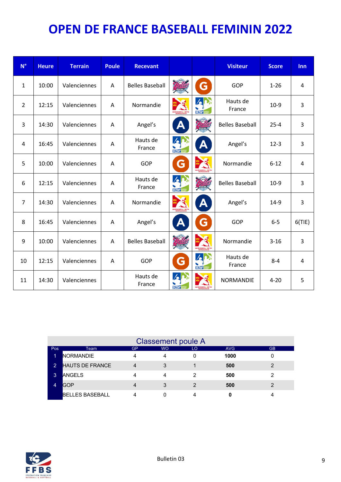| $N^{\circ}$    | <b>Heure</b> | <b>Terrain</b> | <b>Poule</b> | <b>Recevant</b>        |                                       |                            | <b>Visiteur</b>        | <b>Score</b> | Inn    |
|----------------|--------------|----------------|--------------|------------------------|---------------------------------------|----------------------------|------------------------|--------------|--------|
| $\mathbf{1}$   | 10:00        | Valenciennes   | A            | <b>Belles Baseball</b> | $\frac{D}{D}$                         | G                          | GOP                    | $1 - 26$     | 4      |
| $\overline{2}$ | 12:15        | Valenciennes   | A            | Normandie              |                                       | $\mathbf{z}$<br><b>HOF</b> | Hauts de<br>France     | $10-9$       | 3      |
| 3              | 14:30        | Valenciennes   | A            | Angel's                | A                                     | BASEBALL                   | <b>Belles Baseball</b> | $25 - 4$     | 3      |
| 4              | 16:45        | Valenciennes   | A            | Hauts de<br>France     | $\sqrt{2}$<br><b>HDF</b>              | A                          | Angel's                | $12 - 3$     | 3      |
| 5              | 10:00        | Valenciennes   | A            | GOP                    | G                                     |                            | Normandie              | $6 - 12$     | 4      |
| 6              | 12:15        | Valenciennes   | A            | Hauts de<br>France     | $\mathbf{A}$ r<br><b>HDF</b>          | EASEBALL                   | <b>Belles Baseball</b> | $10-9$       | 3      |
| $\overline{7}$ | 14:30        | Valenciennes   | A            | Normandie              | 第 大<br><b>DUE DE BASEBALL » SOFTE</b> | A                          | Angel's                | $14-9$       | 3      |
| 8              | 16:45        | Valenciennes   | A            | Angel's                | A                                     | G                          | GOP                    | $6-5$        | 6(TIE) |
| 9              | 10:00        | Valenciennes   | A            | <b>Belles Baseball</b> | <b>THERE</b>                          |                            | Normandie              | $3 - 16$     | 3      |
| 10             | 12:15        | Valenciennes   | A            | GOP                    | G                                     | $\mathbf{z}$<br><b>HOF</b> | Hauts de<br>France     | $8 - 4$      | 4      |
| 11             | 14:30        | Valenciennes   |              | Hauts de<br>France     | $\sqrt{2}$<br><b>HDF</b>              |                            | <b>NORMANDIE</b>       | $4 - 20$     | 5      |

| <b>Classement poule A</b> |                        |    |           |    |            |           |  |  |
|---------------------------|------------------------|----|-----------|----|------------|-----------|--|--|
| Pos                       | Team                   | GP | <b>WO</b> | LO | <b>AVG</b> | <b>GB</b> |  |  |
|                           | <b>NORMANDIE</b>       |    |           |    | 1000       |           |  |  |
| $\overline{2}$            | <b>HAUTS DE FRANCE</b> | 4  | 3         |    | 500        | ◠         |  |  |
| 3                         | <b>ANGELS</b>          | 4  | 4         | ົ  | 500        | ົ         |  |  |
| $\overline{4}$            | <b>GOP</b>             |    | 3         | っ  | 500        | າ         |  |  |
|                           | BELLES BASEBALL        |    |           |    |            |           |  |  |

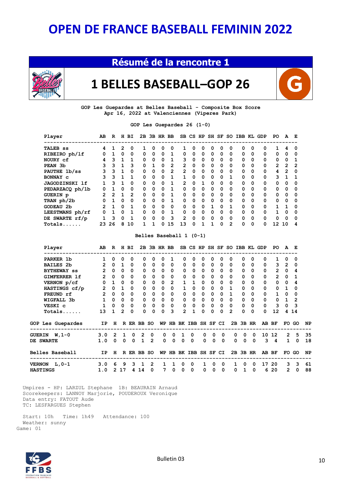### **Résumé de la rencontre 1**



### **1 BELLES BASEBALL–GOP 26**



**GOP Les Guepardes at Belles Baseball - Composite Box Score Apr 16, 2022 at Valenciennes (Viperes Park)**

**GOP Les Guepardes 26 (1-0)**

| Player                | AВ             | R              |                | H BI         | 2в          |              | 3B HR BB |                |                         |             |             |             | SB CS HP SH SF |                | SO IBB KL                    |             | GDP | PO | А              | Е  |
|-----------------------|----------------|----------------|----------------|--------------|-------------|--------------|----------|----------------|-------------------------|-------------|-------------|-------------|----------------|----------------|------------------------------|-------------|-----|----|----------------|----|
| <b>TALEB</b> ss       | 4              | 1              | 2              | 0            | 1           | 0            | 0        | 0              | 1                       | 0           | 0           | 0           | 0              | 0              | 0                            | 0           | 0   | 1  | 4              | 0  |
| RIBEIRO ph/lf         | 0              | 1              | 0              | 0            | 0           | 0            | 0        | 1              | 0                       | 0           | 0           | 0           | 0              | 0              | 0                            | $\Omega$    | 0   | 0  | 0              | 0  |
| NOURY cf              | 4              | 3              | 1              | 1            | 0           | 0            | 0        | $\mathbf{1}$   | 3                       | 0           | $\mathbf 0$ | $\mathbf 0$ | 0              | $\mathbf 0$    | 0                            | 0           | 0   | 0  | 0              | 1  |
| PEAN 3b               | 3              | 3              | $\mathbf{1}$   | 3            | $\Omega$    | $\mathbf{1}$ | 0        | 2              | 2                       | $\mathbf 0$ | $\mathbf 0$ | $\mathbf 0$ | 0              | $\mathbf 0$    | $\mathbf 0$                  | $\Omega$    | 0   | 2  | $\overline{2}$ | 2  |
| PAUTHE 1b/ss          | 3              | 3              | 1              | 0            | 0           | 0            | 0        | $\overline{2}$ | 2                       | 0           | 0           | 0           | 0              | 0              | 0                            | 0           | 0   | 4  | $\overline{2}$ | 0  |
| <b>BONNAY C</b>       | 3              | 3              | 1              | 1            | 0           | 0            | 0        | 1              | 1                       | 0           | 0           | 0           | 0              | 1              | 0                            | 0           | 0   | 3  | 1              | 1  |
| <b>JAGODZINSKI 1f</b> | 1              | 3              | 1              | 0            | 0           | 0            | 0        | $\mathbf{1}$   | 2                       | 0           | 1           | 0           | 0              | 0              | 0                            | 0           | 0   | 0  | 0              | 0  |
| PEDARZACQ ph/1b       | $\mathbf 0$    | $\mathbf{1}$   | 0              | 0            | 0           | 0            | 0        | $\mathbf{1}$   | 0                       | 0           | 0           | 0           | 0              | 0              | 0                            | 0           | 0   | 0  | 0              | 0  |
| <b>GUERIN</b> p       | 2              | $\overline{2}$ | $\mathbf{1}$   | $\mathbf{2}$ | $\Omega$    | $\Omega$     | 0        | 1              | 0                       | 0           | 0           | 0           | 0              | 0              | 0                            | 0           | 0   | 0  | 0              | 0  |
| TRAN ph/2b            | $\mathbf 0$    | $\mathbf{1}$   | $\mathbf 0$    | 0            | $\Omega$    | $\Omega$     | 0        | $\mathbf{1}$   | 0                       | 0           | 0           | 0           | $\Omega$       | 0              | 0                            | $\mathbf 0$ | 0   | 0  | 0              | 0  |
| GODEAU 2b             | $\overline{2}$ | $\mathbf{1}$   | $\mathbf 0$    | 1            | $\Omega$    | $\Omega$     | 0        | $\mathbf 0$    | 0                       | 0           | 0           | 1           | 0              | 1              | 0                            | $\Omega$    | 0   | 1  | 1              | 0  |
| LEESTMANS ph/rf       | 0              | $\mathbf{1}$   | $\mathbf 0$    | $\mathbf{1}$ | $\mathbf 0$ | 0            | 0        | $\mathbf{1}$   | 0                       | 0           | 0           | 0           | $\Omega$       | $\Omega$       | 0                            | 0           | 0   | 1  | 0              | 0  |
| DE SWARTE rf/p        | 1              | 3              | 0              | $\mathbf{1}$ | 0           | 0            | 0        | 3              | 2                       | 0           | 0           | 0           | 0              | 0              | 0                            | 0           | 0   | 0  | 0              | 0  |
| $Totals$              | 23             | 26             | 8              | 10           | 1           | $\mathbf{1}$ | 0        | 15             | 13                      | 0           | 1           | 1           | 0              | 2              | 0                            | 0           | 0   | 12 | 10             | 4  |
|                       |                |                |                |              |             |              |          |                | Belles Baseball 1 (0-1) |             |             |             |                |                |                              |             |     |    |                |    |
| Player                | AB             | $\mathbf R$    |                | H BI         |             | 2B 3B HR BB  |          |                |                         |             |             |             |                |                | SB CS HP SH SF SO IBB KL GDP |             |     | PO | A              | Е  |
| PARKER 1b             | 1              | 0              | 0              | 0            | 0           | 0            | 0        | 1              | 0                       | 0           | 0           | 0           | 0              | 0              | 0                            | 0           | 0   | 1  | 0              | 0  |
| <b>BAILES 2b</b>      | 2              | $\mathbf 0$    | $\mathbf{1}$   | 0            | 0           | 0            | 0        | 0              | 0                       | 0           | $\mathbf 0$ | $\mathbf 0$ | $\mathbf 0$    | $\mathbf 0$    | 0                            | $\mathbf 0$ | 0   | 3  | $\overline{2}$ | 0  |
| <b>BYTHEWAY SS</b>    | $\mathbf{2}$   | $\Omega$       | $\mathbf 0$    | 0            | 0           | 0            | 0        | $\mathbf 0$    | 0                       | 0           | $\mathbf 0$ | $\mathbf 0$ | $\mathbf 0$    | $\mathbf 0$    | 0                            | $\Omega$    | 0   | 2  | 0              | 4  |
| GIMFERRER 1f          | 2              | 0              | 0              | 0            | 0           | 0            | 0        | $\mathbf 0$    | 0                       | 0           | 0           | 0           | 0              | 0              | 0                            | 0           | 0   | 2  | 0              | 1  |
| VERNON p/cf           | 0              | 1              | $\mathbf 0$    | 0            | 0           | 0            | 0        | $\overline{2}$ | 1                       | 1           | 0           | $\mathbf 0$ | 0              | 0              | 0                            | 0           | 0   | 0  | 0              | 4  |
| HASTINGS cf/p         | 2              | $\mathbf 0$    | 1              | 0            | 0           | 0            | 0        | 0              | 1                       | 0           | 0           | 0           | 0              | 1              | 0                            | 0           | 0   | 0  | 1              | 0  |
| FREUND rf             | $\overline{2}$ | $\mathbf 0$    | $\mathbf 0$    | 0            | 0           | 0            | 0        | 0              | 0                       | 0           | 0           | 0           | 0              | 1              | 0                            | 0           | 0   | 1  | 0              | 0  |
| WIGFALL 3b            | 1              | 0              | 0              | 0            | 0           | 0            | 0        | 0              | 0                       | 0           | 0           | 0           | 0              | 0              | 0                            | 0           | 0   | 0  | 1              | 2  |
| VESKI c               |                | 0              | 0              | 0            | 0           | 0            | 0        | 0              | 0                       | 0           | 0           | 0           | 0              | 0              | 0                            | 0           | 0   | 3  | 0              | 3  |
| $Totals$              | 13             | 1              | $\overline{2}$ | 0            | 0           | 0            | 0        | 3              | $\overline{2}$          | 1           | 0           | 0           | 0              | $\overline{2}$ | 0                            | 0           | 0   | 12 | 4              | 14 |

| <b>GOP Les Guepardes</b>                | IP H RERBB SO WP HB BK IBB SH SF CI 2B 3B HR AB BF FOGO NP                                       |  |  |  |  |  |  |  |  |  |        |  |
|-----------------------------------------|--------------------------------------------------------------------------------------------------|--|--|--|--|--|--|--|--|--|--------|--|
| <b>GUERIN W,1-0</b><br><b>DE SWARTE</b> | 3.0 2 1 0 2 0 0 0 1 0 0 0 0 0 0 0 10 12 2 5 35<br>1.0 0 0 0 1 2 0 0 0 0 0 0 0 0 0 0 0 3 4 1 0 18 |  |  |  |  |  |  |  |  |  |        |  |
| Belles Baseball                         | IP H R ER BB SO WP HB BK IBB SH SF CI 2B 3B HR AB BF FO GO NP                                    |  |  |  |  |  |  |  |  |  |        |  |
| VERNON L,0-1<br><b>HASTINGS</b>         | 3.0 6 9 3 1 2 1 1 0 0 1 0 0 1 0 0 17 20 3 3 61<br>1.0 2 17 4 14 0 7 0 0 0 0 0 0 0 1 0 6 20       |  |  |  |  |  |  |  |  |  | 2 0 88 |  |

 Umpires - HP: LARZUL Stephane 1B: BEAURAIN Arnaud Scorekeepers: LANNOY Marjorie, POUDEROUX Veronique Data entry: FATOUT Aude TC: LESFARGUES Stephen

 Start: 10h Time: 1h49 Attendance: 100 Weather: sunny Game: 01

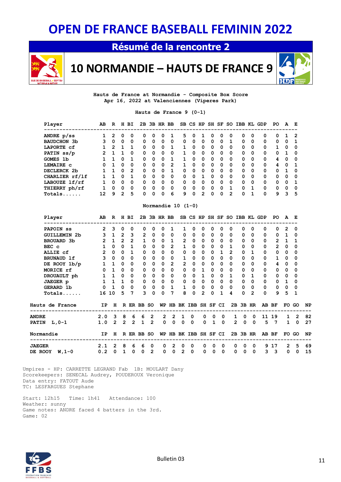**Résumé de la rencontre 2**



**10 NORMANDIE – HAUTS DE FRANCE 9** 



**Hauts de France at Normandie - Composite Box Score Apr 16, 2022 at Valenciennes (Viperes Park)**

**Hauts de France 9 (0-1)**

| AВ            | R        | н        | BI.      |          |   |              |                |             |          |          |              |   |          |          |          | GDP      | PO.                      | A            | E        |
|---------------|----------|----------|----------|----------|---|--------------|----------------|-------------|----------|----------|--------------|---|----------|----------|----------|----------|--------------------------|--------------|----------|
|               | 2        | 0        | 0        | 0        | 0 | 0            |                | 5           | 0        |          | 0            | О | $\Omega$ | 0        | 0        | 0        | 0                        |              | -2       |
| 3             | $\Omega$ | 0        | 0        | 0        | 0 | 0            | 0              | 0           | 0        | 0        | 0            | 0 |          | 0        | 0        | 0        | 0                        | 0            |          |
|               |          |          |          | 0        | 0 | 0            |                |             | 0        | 0        | $\Omega$     | 0 | $\Omega$ | 0        | 0        | 0        |                          | 0            | 0        |
| $\mathcal{P}$ |          |          | 0        | 0        | 0 | 0            | 0              |             | 0        | 0        | $\Omega$     | 0 | $\Omega$ | 0        | 0        | 0        | 0                        |              | 0        |
|               |          | $\Omega$ |          | O        | 0 | $\Omega$     | 1              |             | 0        | $\Omega$ | $\Omega$     | 0 | $\Omega$ | 0        | $\Omega$ | $\Omega$ | 4                        | 0            | 0        |
| 0             |          | $\Omega$ | $\Omega$ | $\Omega$ | 0 | $\Omega$     | $\overline{2}$ |             | 0        | $\Omega$ | $\Omega$     | 0 | $\Omega$ | 0        | $\Omega$ | $\Omega$ | 4                        | <sup>0</sup> |          |
|               |          | $\Omega$ | 2        | $\Omega$ | 0 | 0            | 1              | 0           | $\Omega$ | $\Omega$ | $\Omega$     | 0 | $\Omega$ | $\Omega$ | $\Omega$ | $\Omega$ | $\Omega$                 | 1            | $\Omega$ |
|               |          | $\Omega$ |          | $\Omega$ | O | <sup>0</sup> | 0              | $\Omega$    | $\Omega$ |          | $\Omega$     | 0 | $\Omega$ | $\Omega$ | $\Omega$ | $\Omega$ | 0                        | $\Omega$     | - 0      |
|               | $\Omega$ | $\Omega$ | $\Omega$ | $\Omega$ | 0 | 0            | $\Omega$       | $\Omega$    | $\Omega$ | $\Omega$ | $\Omega$     | 0 | $\Omega$ | 0        | $\Omega$ | $\Omega$ | 0                        | $\Omega$     | - 1      |
|               | $\Omega$ | $\Omega$ | $\Omega$ | 0        | 0 | $\Omega$     | $\Omega$       | 0           | $\Omega$ | 0        | $\Omega$     | 0 |          | 0        |          | $\Omega$ | 0                        | $\Omega$     | - 0      |
| 12            | 9        | 2        | 5        | O        | 0 | 0            | 6              | 9           | 0        | 2        | <sup>0</sup> | 0 | 2        | 0        |          | $\Omega$ | 9                        | 3            | -5       |
|               |          |          |          |          |   |              |                | 2B 3B HR BB |          |          |              |   |          |          |          |          | SB CS HP SH SF SO IBB KL |              |          |

#### **Normandie 10 (1-0)**

| Player                          | AB             | $\mathbf{R}$  |                   | H BI           |                             |                | 2B 3B HR BB |                      |                       |                         |                |            |              |                |              |                         | SB CS HP SH SF SO IBB KL GDP | PO.            | A              | E          |    |
|---------------------------------|----------------|---------------|-------------------|----------------|-----------------------------|----------------|-------------|----------------------|-----------------------|-------------------------|----------------|------------|--------------|----------------|--------------|-------------------------|------------------------------|----------------|----------------|------------|----|
| PAPOIN <sub>ss</sub>            | $\overline{2}$ | 3             | 0                 | $\Omega$       | O.                          | <sup>0</sup>   | 0           | 1                    | 1                     | $\Omega$                | $\Omega$       | 0          | $\Omega$     | 0              | 0            | <sup>0</sup>            | 0                            | <sup>0</sup>   | $\overline{2}$ | $\Omega$   |    |
| <b>GUILLEMIN 2b</b>             | $\mathbf{3}$   | $\mathbf{1}$  |                   | 2 <sup>3</sup> | $\overline{2}$              | $\Omega$       | $\mathbf 0$ | 0                    | 0                     | 0                       | $\Omega$       | 0          | $\Omega$     | $\Omega$       | $\Omega$     | $\Omega$                | 0                            | $\Omega$       | $\mathbf{1}$   | 0          |    |
| BROUARD 3b                      | $2^{\circ}$    |               | $1\quad 2\quad 2$ |                | $\mathbf{1}$                | $\Omega$       | $\Omega$    | $\mathbf{1}$         | $\overline{2}$        | $\mathbf 0$             | $\Omega$       | $\Omega$   | $\Omega$     | $\Omega$       | $\Omega$     | $\Omega$                | 0                            | $\overline{2}$ | $\mathbf{1}$   | 1          |    |
| BEC c                           | 1              | $\Omega$      | $\Omega$          | $\mathbf{1}$   | 0                           | $^{\circ}$     | 0           | $\overline{2}$       | $\mathbf{1}$          | $\mathbf 0$             | $\Omega$       | 0          | $\Omega$     | 1              | 0            | 0                       | 0                            | $\mathbf{2}$   | 0              | 0          |    |
| ALLIE cf                        | $\overline{2}$ | $\Omega$      | $\Omega$          | 1              | 0                           | $\Omega$       | $\Omega$    | $\Omega$             | $\Omega$              | $\Omega$                | $\Omega$       | $\Omega$   | $\mathbf{1}$ | $\overline{2}$ | $\Omega$     | 1                       | 0                            | $\Omega$       | $\Omega$       | 0          |    |
| <b>BRUNAUD 1f</b>               | 3              | $\mathbf 0$   | $\Omega$          | $\Omega$       | 0                           | $\Omega$       | 0           | 0                    | $\mathbf{1}$          | $\mathbf 0$             | 0              | 0          | $\Omega$     | $\Omega$       | $\Omega$     | $\Omega$                | 0                            | $\mathbf{1}$   | 0              | 0          |    |
| DE ROOY $1b/p$                  | $\mathbf{1}$   |               | $1 \quad 0$       | $\Omega$       | $\Omega$                    | $\mathbf{0}$   | $\mathbf 0$ | $\overline{2}$       | $\overline{2}$        | $\mathbf 0$             | $\Omega$       | 0          | $\Omega$     | 0              | <sup>0</sup> | 0                       | 0                            | 4              | 0              | 0          |    |
| MORICE rf                       | $\mathbf{0}$   | $\mathbf{1}$  | $\Omega$          | $\Omega$       | 0                           | $\mathbf{0}$   | $\mathbf 0$ | 0                    | $\mathbf{0}$          | $\mathbf 0$             | $\mathbf{1}$   | 0          | $\Omega$     | 0              | $\Omega$     | 0                       | 0                            | 0              | 0              | 0          |    |
| DROUAULT ph                     | $\mathbf{1}$   |               | $1 \quad 0$       | $\Omega$       | $\Omega$                    | $\Omega$       | 0           | $\Omega$             | 0                     | 0                       | $\mathbf{1}$   | 0          | $\Omega$     | 1              | 0            | 1                       | 0                            | 0              | 0              | 0          |    |
| JAEGER p                        | 1              |               | $1 \quad 1$       | $\mathbf 0$    | $\mathbf{0}$                | $\mathbf{0}$   | $\mathbf 0$ | 0                    | $\mathbf 0$           | 0                       | $\mathbf 0$    | 0          | $\mathbf 0$  | 0              | 0            | 0                       | 0                            | 0              | 1              | 0          |    |
| GERARD 1b                       | 0              |               | $1 \quad 0$       | $\mathbf 0$    |                             | $0\quad 0$     |             | $0\quad 1$           | $\mathbf{1}$          | $\mathbf 0$             | $\mathbf 0$    |            | $0\quad 0$   | $\Omega$       | 0            | $\Omega$                | 0                            | 0              | 0              | 0          |    |
| $Totals$                        |                | 16 10         |                   | 5 7            | 3                           | $\mathbf{0}$   | $\Omega$    | 7                    | 8                     | $\Omega$                | $\overline{2}$ | $\Omega$   | $\mathbf{1}$ | 4              | $\Omega$     | 2                       | 0                            | 9              | 5              | 1          |    |
| Hauts de France                 | <b>IP</b>      |               |                   |                | H R ER BB SO                |                |             |                      | WP HB BK IBB SH SF CI |                         |                |            |              |                | 2B 3B HR     |                         |                              | AB BF          |                | FO GO      | NP |
| <b>ANDRE</b>                    |                | 2.0 3 8 6 6   |                   |                |                             | $\overline{2}$ |             |                      | 2 2 1 0               |                         | $\Omega$       | . . O      | $\Omega$     | $\mathbf{1}$   |              | $0\quad 0$              |                              | 11 19          |                | $1\quad 2$ | 82 |
| <b>PATIN</b> L, 0-1             | 1.0            |               |                   |                | $2 \quad 2 \quad 2 \quad 1$ | $\overline{2}$ |             | $0\quad 0\quad 0$    |                       | $\overline{\mathbf{0}}$ |                | $0\quad 1$ | $\Omega$     |                | $2 \quad 0$  | $\overline{\mathbf{0}}$ | 5 7                          |                | $\mathbf{1}$   | $\Omega$   | 27 |
| Normandie<br>------------------ | $\mathbf{IP}$  |               |                   | -----------    | H R ER BB SO                |                |             |                      | WP HB BK IBB SH SF CI |                         |                |            |              |                | 2B 3B HR     |                         |                              | AB BF          | FO GO          |            | NP |
| <b>JAEGER</b>                   |                | $2.1 \t2 \t8$ |                   | 6              | 6                           | 0              | 0           | $\mathbf{2}^{\circ}$ | 0                     | 0                       | 0              | 0          | 0            | 0              | 0            | 0                       |                              | 9 17           | $\mathbf{2}$   | -5         | 69 |
| DE ROOY W,1-0                   | 0.2            | $\mathbf 0$   | $\mathbf{1}$      | 0              | $\Omega$                    | $\mathbf{2}$   | 0           | 0                    | $\overline{2}$        | 0                       | 0              | 0          | 0            | 0              | 0            | 0                       | 3                            | 3              | $\Omega$       | 0          | 15 |

 Umpires - HP: CARRETTE LEGRAND Fab 1B: MOULART Dany Scorekeepers: SENECAL Audrey, POUDEROUX Veronique Data entry: FATOUT Aude TC: LESFARGUES Stephane

 Start: 12h15 Time: 1h41 Attendance: 100 Weather: sunny Game notes: ANDRE faced 4 batters in the 3rd. Game: 02

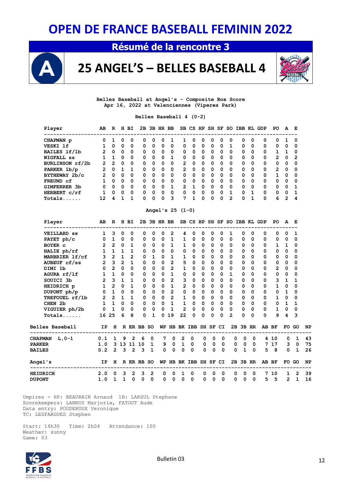### **Résumé de la rencontre 3**



**25 ANGEL'S – BELLES BASEBALL 4**



**Belles Baseball at Angel's - Composite Box Score Apr 16, 2022 at Valenciennes (Viperes Park)**

#### **Belles Baseball 4 (0-2)**

| AB                    |          | н | BI.      |              |   |          |          |               |          |          |              |          |          |              |                   |          | PO.            | A        | E           |
|-----------------------|----------|---|----------|--------------|---|----------|----------|---------------|----------|----------|--------------|----------|----------|--------------|-------------------|----------|----------------|----------|-------------|
| 0                     |          | 0 | 0        | 0            | 0 | 0        |          |               | $\Omega$ | 0        | 0            | 0        | 0        | 0            | 0                 | 0        | 0              |          | 0           |
|                       | $\Omega$ | 0 | 0        | 0            | 0 | $\Omega$ | 0        | 0             | $\Omega$ | 0        | $\Omega$     | $\Omega$ |          | 0            | $\Omega$          | 0        | 0              | $\Omega$ | -0          |
| $\overline{2}$        | $\Omega$ | 0 | 0        | 0            | 0 | $\Omega$ | $\Omega$ | 0             | $\Omega$ | 0        | 0            | $\Omega$ | $\Omega$ | 0            | $\Omega$          | $\Omega$ | 1.             | 1        | $\Omega$    |
|                       |          | 0 | $\Omega$ | $\Omega$     | 0 | $\Omega$ | 1        | 0             | $\Omega$ | 0        | $\Omega$     | $\Omega$ | $\Omega$ | 0            | $\Omega$          | $\Omega$ | 2              | $\Omega$ | -2          |
| $\mathbf{2}^{\prime}$ | 2        | 0 | $\Omega$ | $\Omega$     | 0 | $\Omega$ | 0        | 2             | $\Omega$ | 0        | $\Omega$     | 0        | 0        | 0            | 0                 | 0        | 0              | 0        | 0           |
| $\overline{2}$        | $\Omega$ |   |          | $\Omega$     | 0 | $\Omega$ | 0        | $\mathcal{P}$ | $\Omega$ | 0        | $\Omega$     | 0        | $\Omega$ | 0            | $\Omega$          | $\Omega$ | $\overline{2}$ | $\Omega$ | 0           |
| $\overline{2}$        | $\Omega$ | 0 | $\Omega$ | $\Omega$     | 0 | $\Omega$ | 0        | 0             | $\Omega$ | $\Omega$ | $\Omega$     | $\Omega$ | $\Omega$ | <sup>0</sup> | $\Omega$          | $\Omega$ |                | O        | $\Omega$    |
|                       | n        | 0 | $\Omega$ | <sup>0</sup> | 0 | $\Omega$ | $\Omega$ | 0             | $\Omega$ | 0        | $\Omega$     | $\Omega$ | $\Omega$ | 0            | $\Omega$          | $\Omega$ | 0              | O        | -0          |
| 0                     | $\Omega$ | 0 | $\Omega$ | $\Omega$     | 0 | $\Omega$ | 1        | 2             |          | O        | $\Omega$     | $\Omega$ | $\Omega$ | 0            | $\Omega$          | $\Omega$ | 0              | $\Omega$ | $\mathbf 1$ |
|                       | $\Omega$ | 0 | $\Omega$ | $\Omega$     | 0 | $\Omega$ | 0        | 0             | $\Omega$ | O        | $\Omega$     | O        |          | n            |                   | $\Omega$ | 0              | $\Omega$ | -1          |
| 12                    | 4        |   |          | n            | 0 | 0        | 3        |               |          | O        | <sup>0</sup> | 0        | 2        | 0            |                   | $\Omega$ | 6              | 2        | 4           |
|                       |          | R |          |              |   |          |          | 2B 3B HR BB   |          |          |              |          |          |              | SB CS HP SH SF SO |          | IBB KL GDP     |          |             |

#### **Angel's 25 (1-0)**

| Player             | AB             | R              |                     | H BI           |             |                |              | 2B 3B HR BB    |                         |                       |              |                |             |                |              |             | SB CS HP SH SF SO IBB KL GDP | PO.            | A              | Е            |           |
|--------------------|----------------|----------------|---------------------|----------------|-------------|----------------|--------------|----------------|-------------------------|-----------------------|--------------|----------------|-------------|----------------|--------------|-------------|------------------------------|----------------|----------------|--------------|-----------|
| <b>VEILLARD</b> ss | $\mathbf{1}$   | 3              | $\mathbf 0$         | $\mathbf 0$    | 0           | $\Omega$       | 0            | $\overline{2}$ | 4                       | 0                     | 0            | 0              | 0           | 1              | $\Omega$     | $\Omega$    | 0                            | 0              | 0              | 1            |           |
| PAYET ph/c         | $\mathbf{0}$   | $\mathbf{1}$   | $\mathbf 0$         | $\mathbf 0$    | 0           | 0              | $\mathbf 0$  | $\mathbf{1}$   | $\mathbf{1}$            | 0                     | 0            | 0              | $\mathbf 0$ | 0              | 0            | $\Omega$    | 0                            | 0              | 0              | 0            |           |
| BOYER <sub>c</sub> | $2^{\circ}$    | 2 <sup>7</sup> | $\mathbf{0}$        | $\mathbf{1}$   | 0           | $\mathbf 0$    | $\mathbf 0$  | $\mathbf{1}$   | $\mathbf{1}$            | $\mathbf 0$           | $\mathbf 0$  | 0              | $\mathbf 0$ | $\Omega$       | 0            | $\Omega$    | 0                            | 1              | 1              | 0            |           |
| HALIE ph/rf        | $\mathbf{1}$   | 1              | $1\quad1$           |                | 0           | $\Omega$       | $\Omega$     | $\Omega$       | $\mathbf 0$             | $\Omega$              | $\Omega$     | $\Omega$       | $\Omega$    | $\Omega$       | $\Omega$     | $\Omega$    | $\Omega$                     | 0              | $\mathbf 0$    | $\Omega$     |           |
| MARBRIER lf/cf     | $\mathbf{3}$   | $\overline{2}$ | $\mathbf{1}$        | $\overline{2}$ | 0           | $\mathbf{1}$   | $\mathbf{0}$ | $\mathbf{1}$   | $\mathbf{1}$            | $\mathbf 0$           | $\mathbf 0$  | $\mathbf 0$    | $\mathbf 0$ | 0              | 0            | 0           | $\mathbf 0$                  | 0              | 0              | 0            |           |
| AUBEUF cf/ss       | $\overline{2}$ | $\overline{3}$ | $2^{\circ}$         | $\mathbf{1}$   | $\Omega$    | $\Omega$       | $\mathbf 0$  | $\overline{2}$ | 5 <sup>5</sup>          | $\mathbf 0$           | $\mathbf 0$  | $\Omega$       | $\Omega$    | $\Omega$       | $\Omega$     | $\Omega$    | $\Omega$                     | 0              | 0              | 0            |           |
| DIMI 1b            | $\mathbf 0$    | $\overline{2}$ | $\Omega$            | $\Omega$       | 0           | $\Omega$       | $\Omega$     | $\overline{2}$ | $\mathbf{1}$            | $\Omega$              | $\Omega$     | $\Omega$       | $\Omega$    | $\Omega$       | $\Omega$     | $\Omega$    | $\Omega$                     | $\overline{2}$ | 0              | $\Omega$     |           |
| AGURA rf/lf        | $\mathbf{1}$   | $\mathbf{1}$   | $\mathbf{0}$        | $\mathbf 0$    | 0           | 0              | 0            | $\mathbf{1}$   | $\mathbf 0$             | $\mathbf{0}$          | 0            | 0              | $\mathbf 0$ | $\mathbf{1}$   | 0            | 0           | 0                            | 0              | 0              | 0            |           |
| SOUICI 3b          | $\overline{2}$ | $\overline{3}$ | $\mathbf{1}$        | $\mathbf{1}$   | 0           | $\Omega$       | $\mathbf 0$  | $\overline{2}$ | $\overline{\mathbf{3}}$ | $\mathbf 0$           | $\mathbf 0$  | 0              | $\mathbf 0$ | $\Omega$       | $\Omega$     | $\Omega$    | 0                            | 3              | 1              | 1            |           |
| HEIDRICH p         | 1              | $\overline{2}$ | $\overline{0}$      | $\mathbf{1}$   | 0           | $\Omega$       | $\mathbf 0$  | $\mathbf{1}$   | $\overline{2}$          | $\mathbf 0$           | $\mathbf 0$  | 0              | $\mathbf 0$ | $\Omega$       | $\Omega$     | $\Omega$    | 0                            | $\mathbf{1}$   | 0              | 0            |           |
| DUPONT ph/p        | $\mathbf 0$    | $\mathbf{1}$   | $\Omega$            | $\mathbf 0$    | 0           | $\mathbf 0$    | $\Omega$     | $\overline{2}$ | $\overline{0}$          | $\mathbf 0$           | 0            | 0              | $\mathbf 0$ | 0              | 0            | 0           | 0                            | 0              | $\mathbf{1}$   | 0            |           |
| TREFOUEL rf/1b     | $2^{\circ}$    |                | $2 \quad 1$         | $\mathbf{1}$   | 0           | $\mathbf 0$    | $\Omega$     | $2^{\circ}$    |                         | $1 \quad 0$           | $\mathbf{0}$ | $\Omega$       | $\mathbf 0$ | $\Omega$       | $\Omega$     | $\Omega$    | 0                            | $\mathbf{1}$   | 0              | 0            |           |
| CHEN <sub>2b</sub> | $\mathbf{1}$   |                | $1 \quad 0 \quad 0$ |                | $\mathbf 0$ | $\Omega$       | $\mathbf 0$  | $\mathbf{1}$   |                         | $1 \quad 0$           | $\mathbf{0}$ | $\mathbf{0}$   | $\mathbf 0$ | $\Omega$       | 0            | $\Omega$    | $\mathbf 0$                  | 0              | $\mathbf{1}$   | 1            |           |
| VIGUIER ph/2b      | $\mathbf 0$    | $\mathbf{1}$   | $\overline{0}$      | $\mathbf 0$    | $\mathbf 0$ | $\mathbf 0$    | 0            | $\mathbf{1}$   | $\overline{2}$          | $\Omega$              | $\mathbf 0$  | 0              | $\mathbf 0$ | $\Omega$       | 0            | $\Omega$    | 0                            | $\mathbf 1$    | 0              | 0            |           |
|                    | 16             | 25             | 6                   | 8              | 0           | 1              | 0            | 19             | 22                      | 0                     | 0            | 0              | $\Omega$    | $\overline{2}$ | $\Omega$     | $\Omega$    | $\Omega$                     | 9              | 4              | 3            |           |
| Belles Baseball    | IP             | H              |                     |                | R ER BB SO  |                |              |                |                         | WP HB BK IBB SH SF CI |              |                |             |                | 2B 3B HR     |             |                              | AB BF          | FO GO          |              | NP        |
| CHAPMAN L, 0-1     | 0.1            |                | 1926                |                |             | $\mathbf 0$    | 7            | 0              | $2^{\circ}$             | 0                     | 0            | $\Omega$       | $\Omega$    | 0              | $\Omega$     | $\mathbf 0$ |                              | 4 10           | $\Omega$       | 1            | 43        |
| <b>PARKER</b>      | 1.0            |                | 3 13 11 10          |                |             | $\mathbf{1}$   |              | $9^{\circ}$    | $0$ 1 0                 |                       | 0            | $\overline{0}$ |             | $\mathbf{0}$   |              |             | 0 0 0 7 17                   |                | 3              | $\mathbf 0$  | 75        |
| <b>BAILES</b>      | 0.2            |                | 2 <sup>3</sup>      | $\overline{2}$ | 3           | $\mathbf{1}$   | $\Omega$     | $\Omega$       | $\mathbf 0$             | $\Omega$              | $\Omega$     | $\Omega$       | $\Omega$    | $\Omega$       | $\mathbf{1}$ | $\Omega$    | 5                            | 8              | $\Omega$       | 1            | 26        |
| <b>Angel's</b>     | IP             | н              |                     |                | R ER BB SO  |                | WP           |                |                         | HB BK IBB SH SF CI    |              |                |             |                | 2B 3B HR     |             |                              | AB BF          | FO GO          |              | <b>NP</b> |
| <b>HEIDRICH</b>    | 2.0            | $\Omega$       | 3                   | $\overline{2}$ |             | $\overline{2}$ | 0            | 0              |                         | $\Omega$              | 0            | 0              | 0           | 0              | 0            | $\Omega$    | 7                            | 10             | 1              | 2            | 39        |
| <b>DUPONT</b>      | 1.0            | 1              | 1                   | 0              | 0           | $\Omega$       | 0            | $\Omega$       | 0                       | $\Omega$              | $\Omega$     | $\Omega$       | $\Omega$    | 0              | 0            | $\mathbf 0$ | 5                            | 5              | $\overline{2}$ | $\mathbf{1}$ | 16        |

 Umpires - HP: BEAURAIN Arnaud 1B: LARZUL Stephane Scorekeepers: LANNOY Marjorie, FATOUT Aude Data entry: POUDEROUX Veronique TC: LESFARGUES Stephen

 Start: 14h30 Time: 2h04 Attendance: 100 Weather: sunny Game: 03

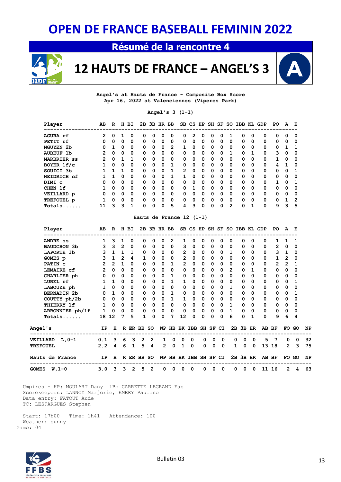**Résumé de la rencontre 4**



**12 HAUTS DE FRANCE – ANGEL'S 3** 

**Angel's at Hauts de France - Composite Box Score Apr 16, 2022 at Valenciennes (Viperes Park)**

**Angel's 3 (1-1)**

| Player             | AВ | R        | н | вI       | 2B           | 3B | HR BB    |          |   |   | SB CS HP | SH | SF | SO. | IBB | KL. | GDP      | PO. | A | E        |
|--------------------|----|----------|---|----------|--------------|----|----------|----------|---|---|----------|----|----|-----|-----|-----|----------|-----|---|----------|
| AGURA rf           | 2  | 0        |   | 0        | n            | o  |          | 0        |   | 2 | O        | Ω  | n  |     | 0   | Ω   | 0        | 0   | o | $\Omega$ |
| PETIT rf           | 0  | 0        | 0 | 0        | 0            | 0  | 0        | 0        | 0 | 0 | 0        | 0  | 0  | 0   | 0   | 0   | 0        | 0   | 0 | 0        |
| <b>NGUYEN 2b</b>   | 0  |          | 0 | 0        | 0            | 0  | $\Omega$ | 2        |   | 0 | 0        | 0  | 0  | 0   | 0   | 0   | 0        | 0   |   |          |
| <b>AUBEUF 1b</b>   | 2  | 0        | 0 | 0        | 0            | 0  | 0        | 0        | 0 | 0 | 0        | 0  | 0  |     | 0   |     | 0        | з   | 0 | 0        |
| <b>MARBRIER</b> ss | 2  | 0        |   | 1        | 0            | 0  | $\Omega$ | 0        | 0 | 0 | 0        | 0  | 0  | 0   | 0   | 0   | 0        | 1   | 0 | 0        |
| BOYER 1f/c         |    | 0        | 0 | 0        | 0            | 0  | 0        |          | 0 | 0 | 0        | 0  | 0  | 0   | 0   | 0   | 0        | 4   |   | 0        |
| SOUICI 3b          |    |          | 1 | $\Omega$ | 0            | 0  | $\Omega$ | 1        | 2 | 0 | 0        | 0  | 0  | 0   | 0   | 0   | $\Omega$ | 0   | 0 | ı        |
| HEIDRICH cf        |    |          | 0 | 0        | <sup>0</sup> | 0  | O        | 1        |   | O | 0        | 0  | 0  | 0   | 0   | 0   | $\Omega$ | 0   | O | $\Omega$ |
| DIMI C             | 0  | $\Omega$ | 0 | $\Omega$ | 0            | 0  | $\Omega$ | 0        | 0 | 0 | 0        | 0  | 0  | 0   | 0   | 0   | $\Omega$ |     | 0 | -1       |
| CHEN 1f            |    | O        | 0 | 0        | 0            | 0  | $\Omega$ | $\Omega$ | 0 |   | 0        | 0  | 0  | 0   | 0   | 0   | $\Omega$ | 0   | 0 | 0        |
| VEILLARD p         | 0  | 0        | 0 | 0        | 0            | 0  | $\Omega$ | 0        | 0 | 0 | 0        | 0  | 0  | 0   | 0   | 0   | 0        | 0   | 0 | 0        |
| TREFOUEL p         | 1  | 0        | 0 | $\Omega$ | 0            | 0  | $\Omega$ | 0        | 0 | 0 | 0        | 0  | 0  | 0   | 0   | 0   | $\Omega$ | 0   | 1 | 2        |
| Totals.            |    | ٩        | ٩ |          | 0            | 0  | 0        | 5        | 4 | ٩ | 0        | Ω  | 0  | 2   | 0   |     | 0        | 9   | 3 | 5        |

#### **Hauts de France 12 (1-1)**

|                | Player                 | AB                    | $\mathbf R$             |                         | H BI           |              |                         | 2B 3B HR BB  |              |              |                       |              |              |             |                |                  |                | SB CS HP SH SF SO IBB KL GDP | PO.                   | A              | E           |           |
|----------------|------------------------|-----------------------|-------------------------|-------------------------|----------------|--------------|-------------------------|--------------|--------------|--------------|-----------------------|--------------|--------------|-------------|----------------|------------------|----------------|------------------------------|-----------------------|----------------|-------------|-----------|
|                | <b>ANDRE</b> ss        | 1                     | 3                       | $\mathbf{1}$            | 0              | 0            | 0                       | 0            | 2            | 1            | 0                     | 0            | 0            | 0           | 0              | 0                | 0              | 0                            | 1                     | ı              | 1           |           |
|                | <b>BAUDCHON 3b</b>     | 3                     | 3 <sup>7</sup>          | $\overline{2}$          | $\mathbf 0$    | $\Omega$     | 0                       | 0            | $\Omega$     | 3            | 0                     | 0            | 0            | $\Omega$    | 0              | 0                | 0              | 0                            | $\overline{2}$        | 0              | $\Omega$    |           |
|                | LAPORTE 1b             | $\overline{3}$        |                         | $1\quad 1$              | $\mathbf{1}$   | 0            | $\mathbf{0}$            | $\mathbf 0$  | $\mathbf{0}$ | $\mathbf{2}$ | $\mathbf{0}$          | $\mathbf{0}$ | $\mathbf{0}$ | $\mathbf 0$ | 1              | 0                | $\Omega$       | 0                            | 3                     | $\mathbf{1}$   | 0           |           |
|                | GOMES p                | 3                     | $\mathbf{1}$            | $\overline{2}$          | 4              | $\mathbf{1}$ | $\Omega$                | 0            | $\Omega$     | $2^{\circ}$  | $\mathbf 0$           | $\mathbf 0$  | $\Omega$     | $\Omega$    | 0              | $\Omega$         | 0              | $\Omega$                     | $\mathbf{1}$          | $\overline{2}$ | $\Omega$    |           |
|                | PATIN C                | $\overline{2}$        | $\overline{2}$          | 1                       | $\mathbf 0$    | 0            | $\mathbf{0}$            | $\mathbf 0$  | $\mathbf{1}$ | $2^{\circ}$  | $\mathbf 0$           | 0            | $\mathbf{0}$ | $\mathbf 0$ | 0              | 0                | 0              | 0                            | $\mathbf{2}^{\prime}$ | $\overline{2}$ | 1           |           |
|                | LEMAIRE cf             | $\overline{2}$        | $\Omega$                | $\Omega$                | $\Omega$       | $\Omega$     | 0                       | 0            | $\Omega$     | $\mathbf 0$  | $\mathbf 0$           | 0            | 0            | $\Omega$    | $\overline{2}$ | $\Omega$         | 1              | $\Omega$                     | 0                     | 0              | $\Omega$    |           |
|                | CHARLIER ph            | $\mathbf 0$           | $\mathbf 0$             | $\mathbf{0}$            | $\mathbf 0$    | 0            | $\mathbf 0$             | 0            | $\mathbf{1}$ | $\mathbf 0$  | $\mathbf 0$           | 0            | 0            | $\mathbf 0$ | 0              | 0                | 0              | 0                            | 0                     | 0              | 0           |           |
|                | LUREL rf               | $\mathbf{1}$          | $\mathbf{1}$            | $\Omega$                | $\Omega$       | $\Omega$     | 0                       | $\mathbf{0}$ | $\mathbf{1}$ | $\mathbf{1}$ | $\Omega$              | $\Omega$     | $\Omega$     | $\Omega$    | $\Omega$       | $\Omega$         | 0              | $\Omega$                     | 0                     | 0              | 1           |           |
|                | LABOUZE ph             | $\mathbf{1}$          | $\mathbf 0$             | $\Omega$                | $\mathbf 0$    | 0            | $\mathbf 0$             | $\mathbf 0$  | $\mathbf{0}$ | $\mathbf{0}$ | $\mathbf 0$           | 0            | $\mathbf{0}$ | $\mathbf 0$ | 1              | 0                | 0              | 0                            | 0                     | 0              | 0           |           |
|                | <b>BERNADIN 2b</b>     | $\Omega$              | $\mathbf{1}$            | $\Omega$                | $\mathbf 0$    | 0            | 0                       | 0            | $\mathbf{1}$ | $\mathbf 0$  | $\mathbf 0$           | $\mathbf 0$  | $\Omega$     | $\Omega$    | $\Omega$       | $\Omega$         | $\Omega$       | 0                            | 0                     | 0              |             |           |
|                | COUTTY ph/2b           | $\mathbf 0$           | $\mathbf 0$             | $\mathbf{0}$            | $\mathbf 0$    | 0            | $\mathbf{0}$            | $\mathbf 0$  | $\mathbf{1}$ | $\mathbf{1}$ | $\mathbf{0}$          | $\mathbf 0$  | 0            | $\mathbf 0$ | 0              | 0                | $\Omega$       | 0                            | 0                     | 0              | 0           |           |
|                | THIERRY 1f             | $\mathbf{1}$          | 0                       | $\overline{\mathbf{0}}$ | $\mathbf 0$    | 0            | $\mathbf 0$             | $\mathbf{0}$ | $\Omega$     | $\mathbf{0}$ | $\Omega$              | $\mathbf{0}$ | $\mathbf{0}$ | $\mathbf 0$ |                | $\Omega$         | $\Omega$       | 0                            | $\mathbf 0$           | 0              | 0           |           |
|                | ARBONNIER ph/lf        | $\mathbf{1}$          | $\overline{\mathbf{0}}$ | $\bullet$ 0             | $\mathbf 0$    | 0            | $\mathbf{0}$            | 0            | $\mathbf 0$  | $\mathbf 0$  | $\mathbf{0}$          | $\mathbf{0}$ | $\mathbf{0}$ | $\mathbf 0$ | $\mathbf{1}$   | 0                | 0              | 0                            | 0                     | 0              | 0           |           |
|                | $Totals$               | 18                    | 12                      | 7                       | 5              | 1            | $\Omega$                | 0            | 7            | 12           | $\Omega$              | 0            | $\Omega$     | $\Omega$    | 6              | $\Omega$         | 1              | $\Omega$                     | 9                     | 6              | 4           |           |
| <b>Angel's</b> |                        | IP                    | H                       |                         |                | R ER BB SO   |                         |              |              |              | WP HB BK IBB SH SF CI |              |              |             |                | 2B 3B HR         |                |                              | AB BF                 |                | FO GO       | NP        |
| VEILLARD       | L,0-1                  | $0.1 \t3 \t6 \t3 \t2$ |                         |                         |                |              | $\overline{2}$          | 1            | 0            | 0            | 0                     | 0            | 0            | 0           | 0              | 0                | $\mathbf 0$    | 5                            | 7                     | 0              | 0           | 32        |
| TREFOUEL       |                        |                       | 2.2 4 6 1 5             |                         |                |              | $\overline{\mathbf{4}}$ | $2^{\circ}$  | 0            | $\mathbf{1}$ | $\mathbf 0$           | 0            | $\mathbf 0$  | 0           |                | $\mathbf 0$<br>1 | $\overline{0}$ |                              | 13 18                 |                | $2 \quad 3$ | 75        |
|                | <b>Hauts de France</b> | IP                    | H                       |                         |                | R ER BB SO   |                         |              |              |              | WP HB BK IBB SH SF CI |              |              |             |                | 2B 3B HR         |                |                              | AB BF                 |                | FO GO       | <b>NP</b> |
| GOMES          | $W, 1-0$               |                       | 3.0 <sub>3</sub>        | 3                       | $\overline{2}$ | 5            | $\overline{2}$          | 0            | 0            | 0            | 0                     | 0            | 0            | 0           | 0              | 0                | $\mathbf 0$    |                              | 11 16                 | $\mathbf{2}$   | 4           | 63        |

 Umpires - HP: MOULART Dany 1B: CARRETTE LEGRAND Fab Scorekeepers: LANNOY Marjorie, EMERY Pauline Data entry: FATOUT Aude TC: LESFARGUES Stephen

 Start: 17h00 Time: 1h41 Attendance: 100 Weather: sunny Game: 04

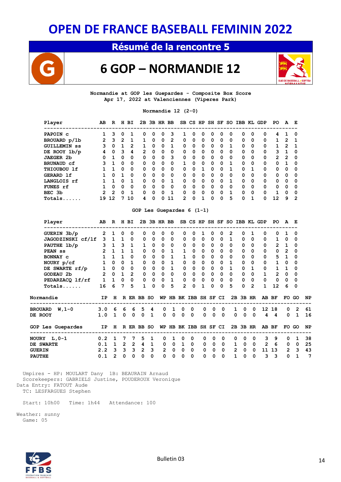**Résumé de la rencontre 5**



### **6 GOP – NORMANDIE 12**



#### **Normandie at GOP les Guepardes - Composite Box Score Apr 17, 2022 at Valenciennes (Viperes Park)**

**Normandie 12 (2-0)**

| Player              | AВ | R        | н | ВI       | 2B       | 3B           | HR BB        |          |              |   |          |          | SB CS HP SH SF | SO.      |          |   | IBB KL GDP | PO.      | A        | E        |
|---------------------|----|----------|---|----------|----------|--------------|--------------|----------|--------------|---|----------|----------|----------------|----------|----------|---|------------|----------|----------|----------|
| PAPOIN C            |    | з        | 0 |          | 0        | 0            | 0            | 3        |              | 0 | 0        | 0        | 0              | 0        | 0        | 0 | 0          | 4        |          | 0        |
| BROUARD p/1b        | 2  | 3        | 2 |          |          | 0            | $\Omega$     | 2        | $\Omega$     | 0 | 0        | $\Omega$ | 0              | $\Omega$ | 0        | 0 | $\Omega$   |          | 2        |          |
| <b>GUILLEMIN SS</b> | 3  | 0        |   | 2        | 1        | 0            | 0            | 1        | $\Omega$     | 0 | 0        | $\Omega$ | 0              | 1        | $\Omega$ | 0 | $\Omega$   | 1        | 2        | - 1      |
| DE ROOY 1b/p        | 4  | 0        | з | 4        | 2        | 0            | 0            | 0        | 0            | 0 | 0        | 0        | 0              | 0        | 0        | 0 | 0          | 3        |          | 0        |
| <b>JAEGER 2b</b>    | 0  |          | 0 | $\Omega$ | $\Omega$ | 0            | $\Omega$     | 3        | $\Omega$     | 0 | 0        | $\Omega$ | 0              | $\Omega$ | 0        | 0 | $\Omega$   | 2        | 2        | - 0      |
| BRUNAUD cf          | 3  |          | 0 | $\Omega$ | $\Omega$ | 0            | $\Omega$     | $\Omega$ |              | 0 | 0        | $\Omega$ | 0              |          | 0        | 0 | $\Omega$   | $\Omega$ |          | 0        |
| THIOUBOU 1f         |    |          | 0 | 0        | $\Omega$ | <sup>0</sup> | $\Omega$     | 0        | 0            | 0 |          | $\Omega$ | 0              |          | 0        | 1 | $\Omega$   | $\Omega$ | 0        | $\Omega$ |
| GERARD 1f           |    | O        |   | 0        | $\Omega$ | 0            | 0            | 0        | <sup>0</sup> | 0 | 0        | 0        | 0              | $\Omega$ | $\Omega$ | 0 | $\Omega$   | $\Omega$ | 0        | -0       |
| LANGLOIS rf         |    |          | 0 |          | $\Omega$ | 0            | $\Omega$     | 1        | 0            | 0 | 0        | $\Omega$ | 0              |          | 0        | 0 | $\Omega$   | 0        | $\Omega$ | -0       |
| FUNES rf            |    | $\Omega$ | O | $\Omega$ | $\Omega$ | O            | $\Omega$     | O        | O            | 0 | $\Omega$ | $\Omega$ | 0              | $\Omega$ | 0        | O | $\Omega$   | $\Omega$ | O        | $\Omega$ |
| BEC 3b              | 2  | 2        | 0 |          | $\Omega$ | 0            | <sup>0</sup> | 1        | 0            | 0 | 0        | 0        | 0              |          | 0        | 0 | $\Omega$   | 1        | 0        | 0        |
| Totals.             | 19 | 12       |   | 10       | 4        | 0            |              |          | 2            | 0 |          | O        | 0              | 5        | 0        |   | 0          | 12       | 9        | -2       |

### **GOP Les Guepardes 6 (1-1)**

|                | Player                                                  | AB.            | $\mathbf{R}$             |             | H BI                |              | 2B 3B HR BB  |              |              |                          |                         |              |              |                     |              |                   |                | SB CS HP SH SF SO IBB KL GDP | PO           |                | Е              |           |
|----------------|---------------------------------------------------------|----------------|--------------------------|-------------|---------------------|--------------|--------------|--------------|--------------|--------------------------|-------------------------|--------------|--------------|---------------------|--------------|-------------------|----------------|------------------------------|--------------|----------------|----------------|-----------|
|                | GUERIN 3b/p                                             | $\overline{2}$ | $\mathbf{1}$             | 0           | 0                   | 0            | 0            | 0            | 0            | $\Omega$                 | 0                       |              | 0            | 0                   | 2            | 0                 |                | 0                            | O            |                | 0              |           |
|                | JAGODZINSKI cf/lf                                       | 3 1 1 0        |                          |             |                     | $\mathbf{0}$ |              | $0\quad 0$   | $\mathbf 0$  | $\mathbf{0}$             | $\mathbf 0$             | $\mathbf{0}$ | $\mathbf{0}$ | $\mathbf{0}$        | $\mathbf{1}$ | 0                 | 0              | 0                            | $\mathbf{1}$ | 0              | 0              |           |
|                | PAUTHE 1b/p                                             |                | $3$ 1 3 1                |             |                     | $\mathbf{1}$ | $\mathbf{0}$ | $\mathbf 0$  | 0            | $\mathbf 0$              | $\mathbf 0$             | $\mathbf{0}$ |              | $0\quad 0$          | $\Omega$     | $\mathbf 0$       | $\Omega$       | $\mathbf 0$                  | $2^{\circ}$  | $\mathbf{1}$   | 0              |           |
|                | PEAN ss                                                 | $\overline{2}$ |                          |             | $1 \quad 1 \quad 1$ | $\mathbf{0}$ |              | $0\quad 0$   | $\mathbf{1}$ | $\mathbf{1}$             | $\mathbf 0$             | $\mathbf{0}$ | $\mathbf{0}$ | $\mathbf{0}$        | 0            | 0                 | 0              | $\mathbf 0$                  | $\mathbf{0}$ | $\overline{2}$ | 0              |           |
|                | <b>BONNAY c</b>                                         |                | $1\quad1$                | 1           | $\mathbf 0$         | 0            | $\mathbf 0$  | $\mathbf 0$  | $\mathbf{1}$ | $\mathbf{1}$             | $\mathbf 0$             | $\mathbf 0$  | $\mathbf 0$  | $\Omega$            | $\Omega$     | 0                 | $\mathbf 0$    | $\mathbf 0$                  | 5            | $\mathbf{1}$   | 0              |           |
|                | NOURY p/cf                                              | 1              | $\mathbf 0$              |             | $0\quad 1$          | 0            | $\mathbf{0}$ | $\mathbf 0$  | 1            | $\mathbf 0$              | $\overline{0}$          | $\mathbf{0}$ | $\mathbf{0}$ | $\Omega$            | $\mathbf{1}$ | $\mathbf 0$       | $\Omega$       | 0                            | 1            | 0              | $\mathbf 0$    |           |
|                | DE SWARTE rf/p                                          | 1              | $0\quad 0\quad 0$        |             |                     | 0            | $\mathbf{0}$ | $\mathbf{0}$ | $\mathbf{1}$ | $\mathbf 0$              | $\mathbf 0$             | $\mathbf{0}$ |              | $0 \quad 0 \quad 1$ |              | $\mathbf 0$       |                | $\mathbf 0$                  | 1            | $\mathbf{1}$   | $\mathbf 0$    |           |
|                | GODEAU 2b                                               |                | $2 \t0 \t1 \t2$          |             |                     | $\mathbf{0}$ | $\mathbf{0}$ | $\mathbf{0}$ | $\mathbf 0$  | $\overline{\mathbf{0}}$  | $\mathbf{0}$            | $\mathbf{0}$ |              | $0\quad 0$          | $\Omega$     | 0                 | $\mathbf 0$    | $\mathbf{1}$                 | $2^{\circ}$  | $\mathbf 0$    | $\mathbf 0$    |           |
|                | PEDARZACQ lf/rf                                         |                | $1\quad 1\quad 0\quad 0$ |             |                     |              | $0\quad 0$   | $\mathbf 0$  | $\mathbf{1}$ | $\overline{\mathbf{0}}$  | $\overline{\mathbf{0}}$ | $\mathbf{0}$ |              | $0\quad 0$          | $\mathbf 0$  | $\mathbf 0$       | $\mathbf 0$    | $\mathbf 0$                  | $\mathbf{0}$ | $\Omega$       | $\mathbf 0$    |           |
|                | $Totals$                                                | 16             | 6                        | $7^{\circ}$ | .5                  | $\mathbf{1}$ | $\Omega$     | $\Omega$     | 5            | $\overline{2}$           | $\Omega$                | $\mathbf{1}$ | 0            | $\Omega$            | 5            | $\Omega$          | $\overline{2}$ | $\mathbf{1}$                 | 12           | 6              | 0              |           |
|                | Normandie                                               | IP             | H                        |             |                     | R ER BB SO   |              |              |              |                          | WP HB BK IBB SH SF CI   |              |              |                     |              | $2B$ 3B HR        |                | AB BF                        |              |                | FO GO          | <b>NP</b> |
|                | BROUARD W, 1-0                                          | 3.0 6 6 6 5 4  |                          |             |                     |              |              | $\mathbf 0$  | $\mathbf{1}$ | $\mathbf 0$              | $\Omega$                |              |              | $0\quad 0\quad 0$   | $\mathbf{1}$ | $\mathbf{0}$      | $\mathbf{0}$   |                              | 12 18        | $\Omega$       | $\overline{2}$ | 61        |
| <b>DE ROOY</b> |                                                         | 1.0 1 0 0 0 1  |                          |             |                     |              |              |              |              | $0\quad 0\quad 0\quad 0$ |                         |              |              | $0\quad 0\quad 0$   |              | $0\quad 0\quad 0$ |                |                              | $4\quad 4$   |                | $0\quad 1$     | 16        |
|                | GOP Les Guepardes IP H R ER BB SO<br>------------------ |                |                          |             |                     |              |              |              |              |                          | WP HB BK IBB SH SF CI   |              |              |                     |              | 2B 3B HR          |                | AB BF                        |              |                | FO GO          | NP        |
|                | NOURY L,0-1                                             | $0.2$ 1 7      |                          |             | 7                   | 5            | 1            | 0            | 1            | 0                        | $\Omega$                | 0            | $\Omega$     | $\Omega$            | $\Omega$     | $\Omega$          | $\Omega$       | 3                            | 9            | 0              | 1              | 38        |
|                | <b>DE SWARTE</b>                                        | 0.1            |                          |             |                     | 1 2 2 4 1    |              | $\mathbf 0$  |              | $0$ 1 0                  |                         |              |              | $0\quad 0\quad 0$   | 1            | $\mathbf{0}$      |                | $\mathbf{0}$                 | $2 \quad 6$  | 0              | $\mathbf 0$    | 25        |
| GUERIN         |                                                         | 2.2 3 3 3 2 3  |                          |             |                     |              |              | $2^{\circ}$  |              | $0\quad 0$               | $\mathbf 0$             |              | $0\quad 0$   | $\mathbf 0$         |              | 2 0 0             |                |                              | 11 13        |                | $2 \quad 3$    | 43        |
| <b>PAUTHE</b>  |                                                         | 0.1            | $\overline{2}$           | $\Omega$    | $\Omega$            | 0            | $\Omega$     | $\Omega$     | $\Omega$     | $\Omega$                 | $\Omega$                | 0            | $\Omega$     | $\Omega$            | 1            | $\Omega$          | $\Omega$       | 3                            | 3            | 0              |                | 7         |
|                |                                                         |                |                          |             |                     |              |              |              |              |                          |                         |              |              |                     |              |                   |                |                              |              |                |                |           |

 Umpires - HP: MOULART Dany 1B: BEAURAIN Arnaud Scorekeepers: GABRIELS Justine, POUDEROUX Veronique Data Entry: FATOUT Aude TC: LESFARGUES Stephen

Start: 10h00 Time: 1h44 Attendance: 100

Weather: sunny Game: 05

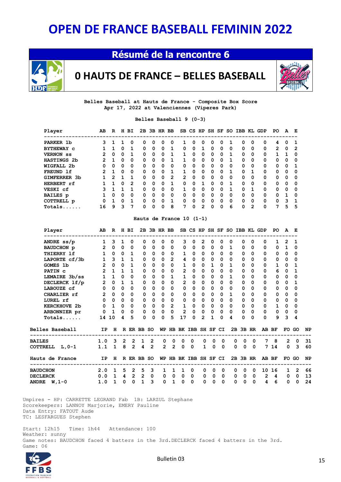### **Résumé de la rencontre 6**



**0 HAUTS DE FRANCE – BELLES BASEBALL** 



#### **Belles Baseball at Hauts de France - Composite Box Score Apr 17, 2022 at Valenciennes (Viperes Park)**

**Belles Baseball 9 (0-3)**

| Player             | AB             | R | н        | BI.      |          |   | 2B 3B HR BB |   |                |          |          |   |   |   | SB CS HP SH SF SO IBB KL GDP |          |   | PO. | A        | E        |
|--------------------|----------------|---|----------|----------|----------|---|-------------|---|----------------|----------|----------|---|---|---|------------------------------|----------|---|-----|----------|----------|
| PARKER 1b          | 3              |   |          | 0        | 0        | 0 | 0           | 0 | ı              | 0        | 0        | 0 | 0 |   | 0                            | 0        | 0 | 4   | 0        |          |
| <b>BYTHEWAY C</b>  |                |   | 0        |          | $\Omega$ | 0 | $\Omega$    |   | 0              | $\Omega$ |          | 0 | 0 | 0 | 0                            | 0        | 0 | 2   | 0        | 2        |
| <b>VERNON</b> ss   | 2              | 0 | 0        | 1.       | 0        | 0 | $\Omega$    |   | 1              | $\Omega$ | 0        | 0 | 0 |   | $\Omega$                     | $\Omega$ | 0 |     |          | 0        |
| <b>HASTINGS 2b</b> | 2              |   | 0        | 0        | $\Omega$ | 0 | 0           |   |                | 0        | 0        | 0 | 0 |   | 0                            | 0        | 0 | 0   | 0        | 0        |
| WIGFALL 2b         | 0              | 0 | $\Omega$ | $\Omega$ | $\Omega$ | 0 | $\Omega$    | 0 | 0              | $\Omega$ | $\Omega$ | 0 | 0 | 0 | $\Omega$                     | $\Omega$ | 0 | 0   | 0        |          |
| FREUND 1f          | $\overline{2}$ |   | 0        | $\Omega$ | $\Omega$ | 0 | $\Omega$    |   | 1              | $\Omega$ | $\Omega$ | 0 | 0 |   | $\Omega$                     |          | 0 | 0   | 0        | 0        |
| GIMFERRER 3b       |                | 2 |          |          | $\Omega$ | 0 | $\Omega$    | 2 | $\overline{2}$ | $\Omega$ | $\Omega$ | 0 | 0 | 0 | 0                            | 0        | 0 | 0   | 0        | 0        |
| HERBERT rf         |                |   | 0        | 2        | $\Omega$ | 0 | $\Omega$    | 1 | 0              | $\Omega$ | 1        | O | 0 | 1 | $\Omega$                     | 0        | 0 | 0   | $\Omega$ | $\Omega$ |
| VESKI cf           | з              |   |          |          | $\Omega$ | 0 | 0           | 0 |                | 0        | 0        | 0 | 0 |   | 0                            |          | 0 | 0   | 0        | 0        |
| <b>BAILES</b> p    |                | O | 0        | 0        | $\Omega$ | 0 | $\Omega$    | 0 | 0              | $\Omega$ | $\Omega$ | 0 | 0 | 0 | $\Omega$                     | 0        | 0 | 0   |          | 0        |
| COTTRELL p         | 0              |   | $\Omega$ |          | $\Omega$ | 0 | $\Omega$    |   | 0              | $\Omega$ | $\Omega$ | 0 | 0 | 0 | $\Omega$                     | 0        | 0 | 0   | 3        | 1        |
| Totals.            | 16             | 9 | 3        |          | O        | 0 | 0           | 8 | 7              | 0        | 2        | O | 0 | 6 | 0                            | 2        | 0 |     | 5        | 5        |

**Hauts de France 10 (1-1)**

### **Player AB R H BI 2B 3B HR BB SB CS HP SH SF SO IBB KL GDP PO A E ---------------------------------------------------------------------------------- ANDRE ss/p 1 3 1 0 0 0 0 0 3 0 2 0 0 0 0 0 0 1 2 1 BAUDCHON p 2 0 0 0 0 0 0 0 0 0 0 0 0 1 0 0 0 0 1 0 THIERRY lf 1 0 0 1 0 0 0 0 1 0 0 0 0 0 0 0 0 0 0 0 LAPORTE cf/3b 1 3 1 1 0 0 0 2 4 0 0 0 0 0 0 0 0 0 0 0 GOMES 1b 2 0 0 1 0 0 0 0 1 0 0 1 0 1 0 0 0 1 0 1 PATIN c 2 1 1 1 0 0 0 0 2 0 0 0 0 0 0 0 0 6 0 1 LEMAIRE 3b/ss 1 1 0 0 0 0 0 1 1 0 0 0 0 1 0 0 0 0 0 0 DECLERCK lf/p 2 0 1 1 0 0 0 0 2 0 0 0 0 0 0 0 0 0 0 1 LABOUZE cf 0 0 0 0 0 0 0 0 0 0 0 0 0 0 0 0 0 0 0 0 CHARLIER rf 2 0 0 0 0 0 0 0 0 0 0 0 0 1 0 0 0 0 0 0 LUREL rf 0 0 0 0 0 0 0 0 0 0 0 0 0 0 0 0 0 0 0 0 KERCKHOVE 2b 0 1 0 0 0 0 0 2 1 0 0 0 0 0 0 0 0 1 0 0 ARBONNIER pr 0 1 0 0 0 0 0 0 2 0 0 0 0 0 0 0 0 0 0 0 Totals...... 14 10 4 5 0 0 0 5 17 0 2 1 0 4 0 0 0 9 3 4 Belles Baseball IP H R ER BB SO WP HB BK IBB SH SF CI 2B 3B HR AB BF FO GO NP ------------------------------------------------------------------------------------------- BAILES 1.0 3 2 2 1 2 0 0 0 0 0 0 0 0 0 0 7 8 2 0 31 COTTRELL L,0-1 1.1 1 8 2 4 2 2 2 0 0 1 0 0 0 0 0 7 14 0 3 60 Hauts de France IP H R ER BB SO WP HB BK IBB SH SF CI 2B 3B HR AB BF FO GO NP ------------------------------------------------------------------------------------------- BAUDCHON** 2.0 1 5 2 5 3 1 1 1 0 0 0 0 0 0 0 0 10 16 1 2<br> **DECLERCK** 0.0 1 4 2 2 0 0 0 0 0 0 0 0 0 0 0 0 2 4 0 0 **DECLERCK 0.0 1 4 2 2 0 0 0 0 0 0 0 0 0 0 0 2 4 0 0 13 ANDRE W,1-0 1.0 1 0 0 1 3 0 1 0 0 0 0 0 0 0 0 4 6 0 0 24**

 Umpires - HP: CARRETTE LEGRAND Fab 1B: LARZUL Stephane Scorekeepers: LANNOY Marjorie, EMERY Pauline Data Entry: FATOUT Aude TC: LESFARGUES Stephen

 Start: 12h15 Time: 1h44 Attendance: 100 Weather: sunny Game notes: BAUDCHON faced 4 batters in the 3rd.DECLERCK faced 4 batters in the 3rd. Game: 06

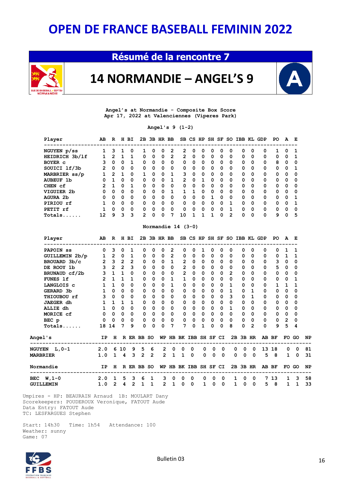### **Résumé de la rencontre 7**



**14 NORMANDIE – ANGEL'S 9**



**Angel's at Normandie - Composite Box Score Apr 17, 2022 at Valenciennes (Viperes Park)**

**Angel's 9 (1-2)**

| Player               | AB             | R        |          | H BI     |          |          | 2B 3B HR BB |          |          |   |   |   |              |   | SB CS HP SH SF SO IBB KL |          | GDP | PO. | A        | E |
|----------------------|----------------|----------|----------|----------|----------|----------|-------------|----------|----------|---|---|---|--------------|---|--------------------------|----------|-----|-----|----------|---|
| NGUYEN p/ss          |                | з        |          | 0        |          | 0        | 0           | 2        | 2        | 0 | 0 | 0 | 0            | 0 | 0                        | 0        | 0   |     | 0        |   |
| HEIDRICH 3b/1f       |                | 2        | Ί.       |          | 0        | 0        | 0           | 2        | 2        | 0 | 0 | 0 | 0            | 0 | 0                        | 0        | 0   | 0   | 0        | 1 |
| BOYER C              | 3              | 0        | $\Omega$ | 1        | 0        | 0        | 0           | 0        | $\Omega$ | 0 | 0 | 0 | 0            | 0 | 0                        | 0        | 0   | 8   | 0        | 0 |
| SOUICI 1f/3b         | 2              | $\Omega$ | 0        | 0        | 0        | 0        | 0           | 0        | 0        | 0 | 0 | 0 | 0            | 0 | 0                        | 0        | 0   | 0   | 0        | 1 |
| <b>MARBRIER</b> ss/p |                | 2        |          | 0        |          | 0        | 0           | 1        | 3        | 0 | 0 | 0 | 0            | 0 | 0                        | 0        | 0   | 0   | 0        | 0 |
| <b>AUBEUF 1b</b>     | 0              |          | 0        | 0        | 0        | 0        | 0           | 1        | 2        | 0 | 1 | 0 | 0            | 0 | 0                        | 0        | 0   | 0   | 0        | 0 |
| CHEN cf              | $\overline{2}$ | 1        | $\Omega$ | 1        | $\Omega$ | 0        | 0           | $\Omega$ | 0        | 0 | 0 | 0 | $\Omega$     | 0 | 0                        | $\Omega$ | 0   | 0   | $\Omega$ | 0 |
| VIGUIER 2b           | 0              | 0        | 0        | $\Omega$ | 0        | 0        | 0           | 1        |          |   | 0 | 0 | 0            | 0 | 0                        | 0        | 0   | 0   | 0        | 0 |
| AGURA 2b             | 0              | 0        | 0        | 0        | 0        | 0        | 0           | 0        | 0        | 0 | 0 | 1 | $\Omega$     | 0 | 0                        | $\Omega$ | 0   | 0   | $\Omega$ | 1 |
| PIRIOU rf            |                | $\Omega$ | $\Omega$ | $\Omega$ | $\Omega$ | $\Omega$ | $\Omega$    | $\Omega$ | $\Omega$ | 0 | 0 | 0 | $\Omega$     | 1 | 0                        | $\Omega$ | 0   | 0   | 0        | 1 |
| PETIT rf             | 1              | 0        | 0        | 0        | 0        | 0        | 0           | 0        | 0        | 0 | 0 | 0 | $\Omega$     | 1 | 0                        | 0        | 0   | 0   | 0        | 0 |
| Totals               | 12             | 9        | 3        | 3        | 2        | 0        | 0           | 7        | 10       |   |   |   | <sup>0</sup> | 2 | 0                        | $\Omega$ | 0   | 9   | $\Omega$ | 5 |

#### **Normandie 14 (3-0)**

|                | Player               | AB             | $\mathbb{R}$   |                | H BI                |              |                | 2B 3B HR BB  |                |                |                       |             |          |             |                |             |              | SB CS HP SH SF SO IBB KL GDP | PO.          | A              | Е        |    |
|----------------|----------------------|----------------|----------------|----------------|---------------------|--------------|----------------|--------------|----------------|----------------|-----------------------|-------------|----------|-------------|----------------|-------------|--------------|------------------------------|--------------|----------------|----------|----|
|                | PAPOIN <sub>ss</sub> | 0              | 3              | $\Omega$       | 1                   | 0            | <sup>0</sup>   | 0            | 2              | 0              | 0                     |             | 0        | 0           | 0              | 0           | 0            | 0                            | <sup>0</sup> | 1              | 1        |    |
|                | GUILLEMIN 2b/p       | $\mathbf{1}$   | $\overline{2}$ | $\mathbf 0$    | 1                   | 0            | $\Omega$       | $\mathbf 0$  | $\overline{2}$ | 0              | 0                     | 0           | 0        | $\Omega$    | $\Omega$       | 0           | 0            | 0                            | 0            | 1              | 1        |    |
|                | BROUARD 3b/c         | $\overline{2}$ | $\overline{3}$ | $\overline{2}$ | $\overline{2}$      | 0            | 0              | $\mathbf 0$  | 1              | $\overline{2}$ | 0                     | 0           | 0        | 0           | $\Omega$       | 0           | 0            | 0                            | 3            | 0              | 0        |    |
|                | DE ROOY 1b           | 3              | $\overline{2}$ | $\overline{2}$ | 3                   | 0            | $\Omega$       | 0            | $\Omega$       | $\overline{2}$ | 0                     | $\mathbf 0$ | 0        | 0           | 0              | 0           | 0            | 0                            | 5            | 0              | 0        |    |
|                | BRUNAUD cf/2b        | 3              | $\mathbf{1}$   | $\mathbf{1}$   | $\Omega$            | 0            | 0              | 0            | 0              | $\overline{2}$ | 0                     | 0           | 0        | 0           | $\overline{2}$ | 0           | 0            | 0                            | 0            | 0              | 0        |    |
|                | <b>FUNES 1f</b>      | $\overline{2}$ | 1              | 1              | 1                   | 0            | $\Omega$       | 0            | $\mathbf{1}$   | $\mathbf{1}$   | $\Omega$              | 0           | 0        | $\Omega$    | 0              | 0           | O            | 0                            | 0            | 0              | 1        |    |
|                | LANGLOIS C           | $\mathbf{1}$   | $\mathbf{1}$   | $\Omega$       | $\Omega$            | $\Omega$     | $\Omega$       | $\Omega$     | 1              | 0              | $\Omega$              | $\Omega$    | $\Omega$ | $\Omega$    | 1              | 0           | 0            | 0                            | 1            | 1              | 1        |    |
|                | GERARD 3b            | $\mathbf{1}$   | $\Omega$       | $\Omega$       | 0                   | 0            | 0              | $\mathbf 0$  | $\Omega$       | $\mathbf 0$    | 0                     | 0           | 0        | 0           | 1              | 0           | 1            | 0                            | 0            | 0              | 0        |    |
|                | THIOUBOU rf          | 3              | $\mathbf 0$    | $\Omega$       | 0                   | 0            | 0              | 0            | $\Omega$       | 0              | 0                     | 0           | 0        | 0           | 3              | 0           | 1            | 0                            | 0            | 0              | 0        |    |
|                | JAEGER dh            | 1              | 1              | $\mathbf{1}$   | 1                   | 0            | 0              | 0            | $\Omega$       | 0              | 0                     | 0           | 0        | 0           | 0              | 0           | 0            | 0                            | 0            | 0              | 0        |    |
|                | ALLIE dh             | 1              | $\mathbf 0$    | $\Omega$       | $\mathbf 0$         | 0            | $\Omega$       | 0            | $\Omega$       | $\mathbf 0$    | 0                     | 0           | 0        | 0           | 1              | 0           | 0            | 0                            | 0            | 0              | 0        |    |
|                | MORICE cf            | $\mathbf 0$    | 0              | 0              | 0                   | 0            | 0              | $\mathbf 0$  | 0              | 0              | $\mathbf{0}$          | $\mathbf 0$ | 0        | 0           | $\Omega$       | 0           | 0            | 0                            | 0            | 0              | 0        |    |
|                | BEC p                | 0              | $\Omega$       | 0              | 0                   | 0            | 0              | 0            | 0              | $\mathbf 0$    | 0                     | $\mathbf 0$ | 0        | 0           | 0              | 0           | 0            | 0                            | 0            | $\overline{2}$ | 0        |    |
|                | $Totals$             | 18             | 14             | 7              | 9                   | $\Omega$     | $\Omega$       | $\Omega$     | 7              | 7              | 0                     | 1           | $\Omega$ | 0           | 8              | 0           | 2            | 0                            | 9            | 5              | 4        |    |
| <b>Angel's</b> |                      | IP             |                |                |                     | H R ER BB SO |                |              |                |                | WP HB BK IBB SH SF CI |             |          |             |                | 2B 3B HR    |              |                              | AB BF        | FO.            | GO       | NP |
|                | <b>NGUYEN L,0-1</b>  | 2.0            |                | 6 10           | 9                   | 5            | 6              | $\mathbf{2}$ | 0              | 0              | 0                     | 0           | $\Omega$ | 0           | 0              | 0           | 0            | 13                           | 18           | 0              | 0        | 81 |
|                | <b>MARBRIER</b>      | 1.0            |                |                | $1 \quad 4 \quad 3$ | $2^{\circ}$  | $\overline{2}$ |              | $2 \quad 1$    | $\mathbf{1}$   | 0                     | 0           | $\Omega$ | $\mathbf 0$ | 0              | $\mathbf 0$ | $\mathbf{0}$ | 5                            | 8            | $\mathbf{1}$   | $\Omega$ | 31 |
|                | Normandie            | IP             | н              |                |                     | R ER BB SO   |                |              |                |                | WP HB BK IBB SH SF CI |             |          |             |                | 2B 3B HR    |              |                              | AB BF        | FO GO          |          | NP |
|                | BEC W, 1-0           | 2.0            | 1              | 5              | 3                   | 6            | 1              | 3            | 0              | 0              | 0                     | 0           | 0        | 0           | 1              | 0           | 0            | 7                            | 13           | 1              | 3        | 58 |
|                | <b>GUILLEMIN</b>     | 1.0            | $\overline{2}$ | 4              | 2                   | 1            | 1              | 2            | 1              | 0              | 0                     | 1           | 0        | 0           | 1              | 0           | 0            | 5                            | 8            | $\mathbf{1}$   | 1        | 33 |

 Umpires - HP: BEAURAIN Arnaud 1B: MOULART Dany Scorekeepers: POUDEROUX Veronique, FATOUT Aude Data Entry: FATOUT Aude TC: LESFARGUES Stephen

 Start: 14h30 Time: 1h54 Attendance: 100 Weather: sunny Game: 07

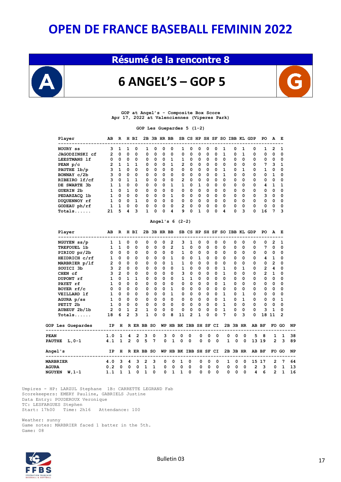### **Résumé de la rencontre 8**

### **6 ANGEL'S – GOP 5**



**GOP at Angel's - Composite Box Score Apr 17, 2022 at Valenciennes (Viperes Park)**

**GOP Les Guepardes 5 (1-2)**

| Player           | AВ           | R  | н  | вI | 2B |   | 3B HR BB    |                  |                |       |   |   |       |             | SB CS HP SH SF SO IBB KL GDP |   |     | PО | A | Е |
|------------------|--------------|----|----|----|----|---|-------------|------------------|----------------|-------|---|---|-------|-------------|------------------------------|---|-----|----|---|---|
| NOURY ss         | 3            | 1  |    | 0  |    | 0 | 0           | 0                | 1              | 0     | 0 | 0 | 0     | 1           | 0                            |   | 0   | 1  | 2 |   |
| JAGODZINSKI cf   | $\mathbf{2}$ | 0  | 0  | 0  | 0  | 0 | 0           | 0                | 0              | 0     | 0 | 0 | 0     | 1           | 0                            | 1 | 0   | 0  | 0 | o |
| LEESTMANS 1f     | 0            | 0  | 0  | 0  | 0  | 0 | 0           | 1                | 1              | 0     | 0 | 0 | 0     | 0           | 0                            | 0 | 0   | 0  | 0 | 0 |
| PEAN $p/c$       | 2            | 1. | 1. | 1. | 0  | 0 | 0           | 1                | $\mathbf{2}$   | 0     | 0 | 0 | 0     | 0           | 0                            | 0 | 0   | 7  | 3 |   |
| PAUTHE 1b/p      | 3            | 1. | 0  | 0  | 0  | 0 | 0           | 0                | 0              | 0     | 0 | 0 | 0     | 1           | 0                            | 1 | 0   | 1  | 0 | O |
| BONNAY c/2b      | 3            | 0  | 0  | 0  | 0  | 0 | 0           | 0                | 0              | 0     | 0 | 0 | 0     | 1           | 0                            | 0 | 0   | 0  | 1 | 0 |
| RIBEIRO 1f/cf    | 3            | 0  | 1  | 1  | 0  | 0 | $\mathbf 0$ | 0                | $\overline{2}$ | 0     | 0 | 0 | 0     | 0           | 0                            | 0 | 0   | 0  | 0 | O |
| DE SWARTE 3b     |              |    | 0  | 0  | 0  | 0 | 0           | 1                | 1              | 0     | 1 | 0 | 0     | 0           | 0                            | 0 | 0   | 4  |   |   |
| <b>GUERIN 2b</b> |              | 0  | 1  | 0  | 0  | 0 | 0           | 0                | 0              | 0     | 0 | 0 | 0     | 0           | 0                            | 0 | 0   | 0  | 0 | 0 |
| PEDARZACO 1b     |              | 0  | 0  | 0  | 0  | 0 | 0           | 1                | 0              | 0     | 0 | 0 | 0     | 0           | 0                            | 0 | 0   | 3  | 0 | O |
| DUQUENNOY rf     |              | 0  | 0  | 1  | 0  | 0 | $\mathbf 0$ | 0                | 0              | 0     | 0 | 0 | 0     | 0           | 0                            | 0 | 0   | 0  | 0 | 0 |
| GODEAU ph/rf     |              | 1  | 0  | 0  | 0  | 0 | 0           | 0                | 2              | 0     | 0 | 0 | 0     | $\mathbf 0$ | 0                            | 0 | 0   | 0  | 0 | 0 |
| $Totals$         | 21           | 5  | 4  | з  | 1  | n | O           | 4                | 9              | O     |   | ŋ | O     | 4           | 0                            | 3 | 0   | 16 | 7 | з |
|                  |              |    |    |    |    |   |             | Angel's $6(2-2)$ |                |       |   |   |       |             |                              |   |     |    |   |   |
| Player           | AB           | R  | н  | вI | 2B |   | 3B HR BB    |                  | SB             | CS HP |   |   | SH SF |             | SO IBB KL                    |   | GDP | PО | A | E |
| NGUYEN ss/p      | 1            | ı  | 0  | 0  | o  | 0 | 0           | 2                | 3              |       | 0 | 0 |       | 0           | 0                            | 0 | 0   | o  | 2 |   |
| TREFOUEL 1b      | 1            | 1  | ٥  | 0  | 0  | 0 | 0           | 2                | 1              | 0     | 0 | 0 | 0     | 0           | 0                            | 0 | 0   | 7  | 0 | O |

| insrvoso io            |                         |                |                |                |              |              |             |              |          |                       |              |             |             |                          |          |              |                |                |                |                |    |  |
|------------------------|-------------------------|----------------|----------------|----------------|--------------|--------------|-------------|--------------|----------|-----------------------|--------------|-------------|-------------|--------------------------|----------|--------------|----------------|----------------|----------------|----------------|----|--|
| PIRIOU pr/2b           | 0                       | 0              | 0              | $\Omega$       | 0            | 0            | 0           | <sup>0</sup> | 1.       | 0                     | 0            | 0           | 0           | 0                        | 0        | 0            | 0              | o              | 0              | 0              |    |  |
| HEIDRICH c/rf          | 1                       | $\mathbf 0$    | 0              | $\mathbf 0$    | 0            | 0            | $\mathbf 0$ | 1            | 0        | 0                     | $\mathbf{1}$ | 0           | 0           | 0                        | 0        | 0            | 0              | 4              | 1              | 0              |    |  |
| MARBRIER p/lf          | $\overline{\mathbf{c}}$ | $\mathbf 0$    | 0              | 0              | 0            | 0            | $\mathbf 0$ |              | 1        | 0                     | 0            | 0           | 0           | $\Omega$                 | 0        | 0            | 0              | 0              | $\overline{2}$ | 0              |    |  |
| SOUICI 3b              | 3                       | $\overline{2}$ | 0              | $\mathbf 0$    | $\mathbf 0$  | 0            | $\Omega$    | 0            | 1.       | 0                     | 0            | 0           | $\mathbf 0$ | 1                        | 0        | $\mathbf{1}$ | 0              | $\overline{2}$ | 4              | 0              |    |  |
| CHEN cf                | 3                       | $\overline{2}$ | $\Omega$       | 0              | 0            | 0            | $\mathbf 0$ | 0            | 3        | 0                     | 0            | 0           | 0           | 1                        | 0        | 0            | 0              | $\mathbf{2}$   |                | 0              |    |  |
| DUPONT rf              | 1                       | $\Omega$       | $\mathbf{1}$   | $\mathbf{1}$   | 0            | 0            | $\mathbf 0$ | 0            | 1.       | 1                     | 0            | 0           | 0           | $\mathbf 0$              | 0        | 0            | 0              | 0              | 0              | 0              |    |  |
| PAYET rf               | 1                       | $\Omega$       | $\Omega$       | 0              | $\Omega$     | $\Omega$     | $\mathbf 0$ | 0            | 0        | 0                     | 0            | 0           | $\Omega$    | $\mathbf{1}$             | $\Omega$ | $\Omega$     | 0              | 0              | 0              | 0              |    |  |
| BOYER rf/c             | 0                       | 0              | 0              | $\mathbf 0$    | $\mathbf 0$  | 0            | $\mathbf 0$ | 1            | 0        | 0                     | 0            | $\mathbf 0$ | 0           | $\Omega$                 | 0        | 0            | 0              | 0              | 0              | 0              |    |  |
| VEILLARD 1f            | 1                       | 0              | 0              | $\mathbf 0$    | 0            | 0            | $\Omega$    | 1            | $\Omega$ | 0                     | 0            | 0           | 0           | 1                        | $\Omega$ | 1            | 0              | 0              | 0              | 0              |    |  |
| AGURA p/ss             | $\mathbf{1}$            | $\mathbf 0$    | 0              | 0              | $\mathbf 0$  | $\Omega$     | $\mathbf 0$ | $\Omega$     | 0        | 0                     | $\Omega$     | 0           | $\Omega$    | $\mathbf{1}$             | $\Omega$ | $\mathbf{1}$ | $\Omega$       | 0              | $\Omega$       | 1              |    |  |
| PETIT <sub>2b</sub>    | $\mathbf{1}$            | $\Omega$       | 0              | $\mathbf 0$    | 0            | 0            | $\mathbf 0$ | 0            | 0        | $\mathbf 0$           | 0            | $\mathbf 0$ | $\Omega$    | $\mathbf{1}$             | 0        | $\Omega$     | 0              | 0              | 0              | 0              |    |  |
| AUBEUF 2b/1b           | $\overline{2}$          | $\mathbf{0}$   | $\mathbf{1}$   | $\overline{2}$ | $\mathbf{1}$ | 0            | $\mathbf 0$ | 0            | 0        | $\mathbf 0$           | 0            | $\mathbf 0$ | $^{\circ}$  | $\mathbf{1}$             | 0        | 0            | 0              | з              | 1              | 0              |    |  |
| $Totals$               | 18                      | 6              | $\overline{2}$ | 3              | $\mathbf{1}$ | $\Omega$     | $\Omega$    | 8            | 11       | $\mathfrak{p}$        | 1            | $\Omega$    | $\Omega$    | 7                        | $\Omega$ | 3            | 0              | 18             | 11             | $\overline{2}$ |    |  |
|                        |                         |                |                |                |              |              |             |              |          |                       |              |             |             |                          |          |              |                |                |                |                |    |  |
| GOP Les Guepardes      | IP                      |                |                |                | H R ER BB SO |              |             |              |          | WP HB BK IBB SH SF CI |              |             |             | ------------------------ |          | 2B 3B HR     | AB BF          |                |                | FO GO          | NP |  |
| <b>PEAN</b>            | 1.0 1 4 2 3             |                |                |                |              | 0            | 3           | $\mathbf 0$  | 0        | 0                     | 0            | $^{\circ}$  | $\mathbf 0$ | 0                        | 0        | $\mathbf 0$  | 5              | - 8            | 1.             | 1.             | 38 |  |
| <b>PAUTHE</b><br>L,0-1 | $4.1 \quad 1$           |                | $\overline{2}$ | $\mathbf 0$    | 5            | 7            | 0           | $\mathbf{1}$ | 0        | $\Omega$              | 0            | $\mathbf 0$ | $\mathbf 0$ | 1                        | 0        | $\mathbf 0$  |                | 13 19          | $\mathbf{2}$   | 3              | 89 |  |
| <b>Angel's</b>         | ΙP                      |                |                |                | H R ER BB SO |              |             |              |          | WP HB BK IBB SH SF CI |              |             |             |                          |          | 2B 3B HR     | AB BF          |                |                | FO GO          | NP |  |
|                        |                         |                |                |                |              |              |             |              |          |                       |              |             |             |                          |          |              |                |                |                |                |    |  |
| <b>MARBRIER</b>        | 4.0                     | 3              | 4              | 3              | $\mathbf{z}$ | 3            | 0           | <sup>0</sup> | 1.       | 0                     | <sup>0</sup> | $\Omega$    | O           |                          | $\Omega$ | 0            | 15             | 17             | $\overline{2}$ | 7              | 64 |  |
| <b>AGURA</b>           | 0.2                     | $\Omega$       | $\mathbf 0$    | 0              | 1            | $\mathbf{1}$ | 0           | 0            | 0        | 0                     | 0            | 0           | 0           | 0                        | 0        | $\mathbf 0$  | $\overline{2}$ | 3              | 0              | 1              | 13 |  |
| <b>NGUYEN</b><br>W,1-1 | 1.1                     | 1.             | 1.             | 0              |              | 0            | 0           |              | 1.       | 0                     | 0            | 0           | 0           | 0                        | 0        | 0            | 4              | 6              | 2              | 1              | 16 |  |
|                        |                         |                |                |                |              |              |             |              |          |                       |              |             |             |                          |          |              |                |                |                |                |    |  |

 Umpires - HP: LARZUL Stephane 1B: CARRETTE LEGRAND Fab Scorekeepers: EMERY Pauline, GABRIELS Justine Data Entry: POUDEROUX Veronique TC: LESFARGUES Stephen Start: 17h00 Time: 2h16 Attendance: 100

 Weather: sunny Game notes: MARBRIER faced 1 batter in the 5th. Game: 08

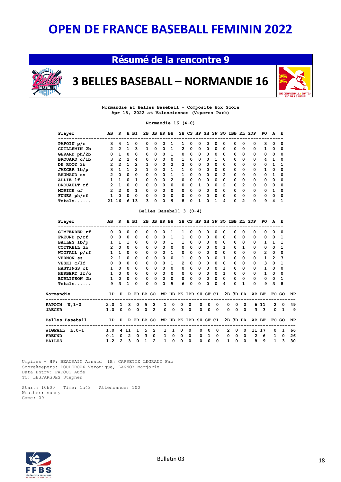### **Résumé de la rencontre 9**



### **3 BELLES BASEBALL – NORMANDIE 16**



**Normandie at Belles Baseball - Composite Box Score Apr 18, 2022 at Valenciennes (Viperes Park)**

**Normandie 16 (4-0)**

| Player                     | AB           | R        | н              | BI.          |          |          |          | 2B 3B HR BB    |                      |              |          |          |          |                | SB CS HP SH SF SO IBB KL GDP |                |          | PO.      | A            | E            |
|----------------------------|--------------|----------|----------------|--------------|----------|----------|----------|----------------|----------------------|--------------|----------|----------|----------|----------------|------------------------------|----------------|----------|----------|--------------|--------------|
| PAPOIN p/c                 | 3            | 4        |                |              | 0        | 0        | o        |                |                      | <sup>0</sup> | 0        | o        | 0        | $\Omega$       | 0                            | 0              | 0        | 3        | 0            | 0            |
| GUILLEMIN 2b               | $\mathbf{2}$ | 2        |                | ٩            |          | 0        | $\Omega$ |                | $\mathbf{2}^{\circ}$ | 0            | 0        | 0        | 0        | 0              | 0                            | 0              | 0        |          | 0            | 0            |
| GERARD ph/2b               | 0            |          | 0              | 0            | $\Omega$ | 0        | $\Omega$ | 1              | 0                    | 0            | $\Omega$ | $\Omega$ | 0        | $\Omega$       | 0                            | 0              | $\Omega$ | 0        | 0            | 0            |
| BROUARD c/1b               | 3            | 2        | $\mathfrak{p}$ | 4            | 0        | 0        | 0        | 0              |                      | 0            | 0        | 0        |          | 0              | 0                            | 0              | 0        | 4        |              | 0            |
| DE ROOY 3b                 | $\mathbf{2}$ | 2        |                | $\mathbf{z}$ |          | $\Omega$ | $\Omega$ | $\mathfrak{p}$ | $\mathbf{z}$         | $\Omega$     | 0        | $\Omega$ | $\Omega$ | $\Omega$       | $\Omega$                     | $\Omega$       | $\Omega$ | $\Omega$ |              | $\mathbf{1}$ |
| JAEGER 1b/p                | 3            |          |                | $\mathbf{z}$ | 1.       | 0        | $\Omega$ | 1              |                      | $\Omega$     | $\Omega$ | $\Omega$ | 0        | $\Omega$       | 0                            | 0              | $\Omega$ | 1.       | 0            | 0            |
| <b>BRUNAUD ss</b>          | 2            | $\Omega$ | 0              | 0            | $\Omega$ | 0        | $\Omega$ |                |                      | 0            | 0        | 0        | 0        | $\overline{2}$ | 0                            | 0              | 0        | 0        | 1            | $\Omega$     |
| ALLIE 1f                   |              |          | <sup>0</sup>   | 1.           | $\Omega$ | 0        | $\Omega$ | 2              | 0                    | $\Omega$     | $\Omega$ | $\Omega$ | $\Omega$ | $\Omega$       | $\Omega$                     | 0              | $\Omega$ | 0        | <sup>0</sup> | 0            |
| DROUAULT rf                | 2            |          | $\Omega$       | $\Omega$     | $\Omega$ | 0        | $\Omega$ | $\Omega$       | 0                    | $\Omega$     |          | $\Omega$ | $\Omega$ | 2              | $\Omega$                     | $\mathfrak{p}$ | $\Omega$ | $\Omega$ | 0            | $\Omega$     |
| MORICE cf                  | $\mathbf{2}$ | 2        | $\Omega$       |              | $\Omega$ | 0        | $\Omega$ | $\Omega$       | $\Omega$             | $\Omega$     | 0        | $\Omega$ | $\Omega$ | $\Omega$       | $\Omega$                     | $\Omega$       | $\Omega$ | $\Omega$ |              | $\Omega$     |
| FUNES ph/cf                | 1            | $\Omega$ | $\Omega$       | $\Omega$     | $\Omega$ | 0        | $\Omega$ | $\Omega$       | 0                    | $\Omega$     | $\Omega$ | $\Omega$ | 0        | $\Omega$       | $\Omega$                     | 0              | $\Omega$ | $\Omega$ | 0            | 0            |
| ${\tt Totals} \dots \dots$ |              | 21 16    | 6              | 13           | 3        | 0        | $\Omega$ | 9              | 8                    | 0            |          | n        |          | 4              | 0                            | 2              | $\Omega$ | 9        | 4            | 1            |
|                            |              |          |                |              |          |          |          |                |                      |              |          |          |          |                |                              |                |          |          |              |              |

### **Belles Baseball 3 (0-4)**

| Player                 | AB             | $\mathbf{R}$ |                | H BI        |                 | 2B 3B HR BB    |              |              |                       |              |              |              |            | SB CS HP SH SF SO IBB KL GDP |             |              |                | PO             |                | Е            |
|------------------------|----------------|--------------|----------------|-------------|-----------------|----------------|--------------|--------------|-----------------------|--------------|--------------|--------------|------------|------------------------------|-------------|--------------|----------------|----------------|----------------|--------------|
| GIMFERRER rf           | 0              | 0            | 0              | $\Omega$    | 0               | $\Omega$       | 0            | 1            |                       | 0            | $\Omega$     | 0            | $\Omega$   | <sup>0</sup>                 | 0           | 0            | 0              | <sup>0</sup>   | $\Omega$       | 0            |
| FREUND $p/rf$          | 0              | $\mathbf{0}$ | $\mathbf{0}$   | $\Omega$    | 0               | 0              | $\mathbf 0$  | $\mathbf{1}$ | $\mathbf{1}$          | $\mathbf 0$  | $\mathbf 0$  | $\mathbf 0$  | $^{\circ}$ | 0                            | $\Omega$    | $\Omega$     | $\Omega$       | $\mathbf 0$    | $\mathbf 0$    | 1            |
| BAILES 1b/p            | $\mathbf{1}$   |              | $1 \quad 1$    | $\Omega$    | 0               | $\mathbf{0}$   | $\mathbf 0$  | $\mathbf{1}$ | $\mathbf{1}$          | $\mathbf 0$  | $\mathbf{0}$ | $\mathbf{0}$ | $^{\circ}$ | 0                            | $\Omega$    | $\Omega$     | 0              | $\mathbf{1}$   | $\mathbf{1}$   | 1            |
| COTTRELL 3b            | $2^{\circ}$    |              | $0\quad 0$     | $\Omega$    | 0               | $\mathbf{0}$   | $\mathbf{0}$ | $\Omega$     | $\mathbf{0}$          | $\mathbf 0$  | $^{\circ}$   | $\mathbf{0}$ | $^{\circ}$ | $\mathbf{1}$                 | $\mathbf 0$ | $\mathbf{1}$ | 0              | $\mathbf 0$    | $\mathbf 0$    | 1            |
| WIGFALL $p/rf$         | $\mathbf{1}$   |              | $1 \quad 0$    | $\Omega$    | $\Omega$        | $\Omega$       | $\Omega$     | $\mathbf{1}$ | 0                     | $\mathbf{0}$ | $\Omega$     | $\mathbf{0}$ | $\Omega$   | 0                            | $\Omega$    | $\Omega$     | $\Omega$       | $\mathbf{z}$   | $\mathbf 0$    | $\Omega$     |
| <b>VERNON</b> ss       | $\overline{2}$ | $\mathbf{1}$ | $\Omega$       | 0           | 0               | $\Omega$       | $\mathbf 0$  | 0            | $\mathbf{1}$          | $\mathbf 0$  | $\mathbf{0}$ | $\mathbf 0$  | $\Omega$   | $\mathbf{1}$                 | $\mathbf 0$ | 0            | 0              | $\mathbf{1}$   | $\overline{2}$ | 3            |
| VESKI c/lf             | $\mathbf 0$    | $\Omega$     | $\Omega$       | $\Omega$    | 0               | $\Omega$       | $\Omega$     | $\mathbf{1}$ | $\overline{2}$        | $\mathbf 0$  | $\Omega$     | $\mathbf{0}$ | $\Omega$   | 0                            | $\Omega$    | $\Omega$     | 0              | 3              | $\mathbf 0$    | 1            |
| HASTINGS cf            | $\mathbf{1}$   | $\mathbf{0}$ | $\mathbf{0}$   | $^{\circ}$  | $\mathbf{0}$    | $\Omega$       | $\mathbf{0}$ | $^{\circ}$   | 0                     | $\mathbf 0$  | $\mathbf{0}$ |              | $0\quad 0$ | $\mathbf{1}$                 | $\mathbf 0$ | 0            | 0              | $\mathbf{1}$   | 0              | 0            |
| HERBERT 1f/c           | $\mathbf{1}$   |              | 0 <sub>0</sub> | $\mathbf 0$ | $\Omega$        | $\Omega$       | $^{\circ}$   | 0            | 0                     | $\mathbf 0$  | $\mathbf{0}$ | $^{\circ}$   | $\Omega$   | $\mathbf{1}$                 | $\Omega$    | $\Omega$     | $\Omega$       | $\mathbf{1}$   | $\mathbf 0$    | $\Omega$     |
| <b>BURLINSON 2b</b>    | $\mathbf{1}$   | $\Omega$     | $\Omega$       | $^{\circ}$  | 0               | $\mathbf{0}$   | $\mathbf 0$  | $\mathbf{0}$ | $\mathbf 0$           | $\mathbf 0$  | $\mathbf{0}$ | $\mathbf 0$  | $\Omega$   | 0                            | $\mathbf 0$ | 0            | 0              | $\mathbf 0$    | $\Omega$       | 1            |
| $Totals$               | 9              | 3            | $\mathbf{1}$   | $\Omega$    | 0               | $\Omega$       | $\Omega$     | 5.           | 6                     | $\Omega$     | $\Omega$     | $\Omega$     | $\Omega$   | 4                            | $\Omega$    | $\mathbf{1}$ | 0              | q              | 3              | 8            |
| Normandie              |                |              |                |             | IP H R ER BB SO |                |              |              | WP HB BK IBB SH SF CI |              |              |              |            |                              | 2B 3B HR    |              |                | AB BF          |                | FO GO        |
| PAPOIN W,1-0           | $2.0 \t1 \t3$  |              |                |             | 0 <sub>5</sub>  | $\overline{2}$ | 1            | $\Omega$     | 0                     | 0            | 0            | $^{\circ}$   | 0          | 0                            | $^{\circ}$  | $^{\circ}$   |                | 6 11           | 2              | $\Omega$     |
| <b>JAEGER</b>          | 1.0            | 0            | $\mathbf 0$    | 0           | $\Omega$        | $\mathbf{z}$   | 0            | $\Omega$     | $\mathbf 0$           | $\Omega$     | $\Omega$     | $\mathbf 0$  | $\Omega$   | $\Omega$                     | $\mathbf 0$ | $^{\circ}$   |                | 3 <sup>3</sup> | $\Omega$       | $\mathbf{1}$ |
| <b>Belles Baseball</b> |                |              |                |             | IP H R ER BB SO |                |              |              | WP HB BK IBB SH SF CI |              |              |              |            |                              | 2B 3B HR    |              |                | AB BF          |                | FO GO        |
| WIGFALL L.O-1          | 1.0            |              | 4 1 1          | 1           | 5               | 2              | 1            | 1            | $\Omega$              | $\Omega$     | 0            | $\Omega$     | $\Omega$   | $\mathbf{2}^{\circ}$         | 0           | $\mathbf{0}$ |                | 11 17          | 0              | 1            |
| <b>FREUND</b>          | 0.1            | $\Omega$     | $\overline{2}$ |             | 0 <sup>3</sup>  | $\mathbf 0$    | $\mathbf{1}$ | $\mathbf 0$  | 0                     | 0            | $\mathbf{0}$ | $\mathbf{1}$ | $^{\circ}$ | 0                            | $\mathbf 0$ | $^{\circ}$   | $\overline{2}$ | - 6            | $\mathbf{1}$   | $^{\circ}$   |
|                        |                |              |                |             |                 |                |              |              |                       |              |              |              |            |                              |             |              |                |                |                |              |

 Umpires - HP: BEAURAIN Arnaud 1B: CARRETTE LEGRAND Fab Scorekeepers: POUDEROUX Veronique, LANNOY Marjorie Data Entry: FATOUT Aude TC: LESFARGUES Stephen

 Start: 10h00 Time: 1h43 Attendance: 100 Weather: sunny Game: 09

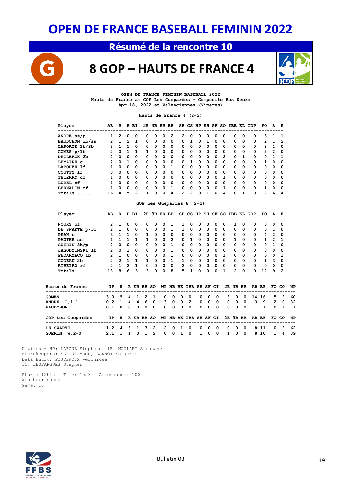### **Résumé de la rencontre 10**



### **8 GOP – HAUTS DE FRANCE 4**



#### **OPEN DE FRANCE FEMININ BASEBALL 2022 Hauts de France at GOP Les Guepardes - Composite Box Score Apr 18, 2022 at Valenciennes (Viperes)**

#### **Hauts de France 4 (2-2)**

| AВ           | R            | н  | вI       |          | 3B       |          |          |          |          |              |          |              |                |          |          | GDP | PO             | A        | E            |
|--------------|--------------|----|----------|----------|----------|----------|----------|----------|----------|--------------|----------|--------------|----------------|----------|----------|-----|----------------|----------|--------------|
|              | 2            | 0  | $\Omega$ | 0        | 0        | o        | 2        | 2        | 0        | 0            | 0        |              | 0              | 0        | 0        | 0   | 3              |          | - 1          |
| 2            |              | 2  |          | $\Omega$ | 0        | $\Omega$ | 0        | $\Omega$ |          | $\Omega$     |          | 0            | $\Omega$       | 0        | $\Omega$ | 0   | 2              |          | -2           |
| 3            | 1            | 1. | $\Omega$ | 0        | $\Omega$ | $\Omega$ | 0        | $\Omega$ | 0        | $\Omega$     | 0        | 0            | $\Omega$       | 0        | 0        | 0   | 3.             | 1.       | $\Omega$     |
| 2            | <sup>0</sup> |    |          |          | o        | 0        | 0        | $\Omega$ | 0        | 0            | 0        | 0            | 0              | 0        | 0        | 0   | $\overline{2}$ | 2        | 0            |
| 2            | $\Omega$     | 0  | $\Omega$ | $\Omega$ | $\Omega$ | $\Omega$ | $\Omega$ | $\Omega$ | $\Omega$ | $\Omega$     | $\Omega$ | $\Omega$     | 2              | 0        |          | 0   | 0              |          | $\mathbf{1}$ |
| $\mathbf{2}$ | $\Omega$     | 1  | $\Omega$ | $\Omega$ | $\Omega$ | 0        | $\Omega$ | $\Omega$ | 1        | $\Omega$     | $\Omega$ | <sup>0</sup> | $\Omega$       | $\Omega$ | $\Omega$ | 0   | 1              | $\Omega$ | $\Omega$     |
|              | <sup>0</sup> | 0  | 0        | 0        | $\Omega$ | $\Omega$ |          | $\Omega$ | 0        | 0            | 0        | 0            | 0              | 0        | 0        | 0   | 0              | $\Omega$ | 0            |
| 0            | $\Omega$     | 0  | $\Omega$ | $\Omega$ | $\Omega$ | $\Omega$ | $\Omega$ | $\Omega$ | $\Omega$ | $\Omega$     | $\Omega$ | $\Omega$     | $\Omega$       | $\Omega$ | $\Omega$ | 0   | 0              | $\Omega$ | $\Omega$     |
|              | $\Omega$     | 0  | $\Omega$ | $\Omega$ | $\Omega$ | $\Omega$ | $\Omega$ | $\Omega$ | $\Omega$ | $\Omega$     | $\Omega$ | <sup>0</sup> |                | 0        | $\Omega$ | 0   | 0              | $\Omega$ | $\Omega$     |
|              | 0            | 0  | 0        | 0        | 0        | $\Omega$ | 0        | $\Omega$ | 0        | $\Omega$     | 0        | 0            | 0              | 0        | 0        | 0   | 0              | $\Omega$ | 0            |
|              | $\Omega$     | 0  | $\Omega$ | $\Omega$ | $\Omega$ | $\Omega$ | 1        | $\Omega$ | $\Omega$ | $\Omega$     | $\Omega$ | 0            |                | 0        | $\Omega$ | 0   | 1              | $\Omega$ | $\Omega$     |
| 16           | 4            | 5. | 2        |          | n        | 0        | 4        | 2        | 2        | <sup>n</sup> |          | 0            | 4              | 0        |          | 0   | 12             | 6        | 4            |
|              |              |    |          |          |          | 2B       |          | HR BB    |          |              |          |              | SB CS HP SH SF | so       |          |     | IBB KL         |          |              |

#### **GOP Les Guepardes 8 (2-2)**

| Player         | AB                   | R        |          | H BI     | 2B 3B HR BB  |              |          |                |                |          |          |          |          |          | SB CS HP SH SF SO IBB KL GDP |          |   | PO       | A            | E        |
|----------------|----------------------|----------|----------|----------|--------------|--------------|----------|----------------|----------------|----------|----------|----------|----------|----------|------------------------------|----------|---|----------|--------------|----------|
| NOURY cf       | 2                    |          | 0        | $\Omega$ | <sup>0</sup> | <sup>0</sup> | $\Omega$ |                | п.             | $\Omega$ | $\Omega$ | 0        | 0        | 0        |                              | 0        | 0 | 0        | 0            | - 0      |
| DE SWARTE p/3b | $\mathbf{2}^{\circ}$ |          | 0        | $\Omega$ | $\Omega$     | 0            | 0        | 1              | 1.             | 0        | 0        | 0        | 0        | $\Omega$ | 0                            | 0        | 0 | $\Omega$ |              | 0        |
| PEAN C         | 3                    |          | 1        | $\Omega$ | 1.           | $\Omega$     | 0        | 0              | 0              | 0        | $\Omega$ | 0        | 0        | $\Omega$ | 0                            | 0        | 0 | 4        | $\mathbf{z}$ | - 0      |
| PAUTHE ss      |                      |          |          |          | 1.           | $\Omega$     | $\Omega$ | $\overline{2}$ | 0              | 1        | $\Omega$ | $\Omega$ | $\Omega$ | $\Omega$ | 1.                           | $\Omega$ | 0 | 1        | $\mathbf{z}$ | 1.       |
| GUERIN 3b/p    | 2                    | $\Omega$ | $\Omega$ | 0        | $\Omega$     | 0            | $\Omega$ | 1              | $\Omega$       | 0        | $\Omega$ | 0        | $\Omega$ | $\Omega$ | $\Omega$                     | $\Omega$ | 0 | $\Omega$ |              | 0        |
| JAGODZINSKI 1f | $\mathbf{2}$         | $\Omega$ |          | $\Omega$ | $\Omega$     | $\Omega$     | $\Omega$ |                | $\Omega$       | 0        | $\Omega$ | $\Omega$ | $\Omega$ | 0        | $\Omega$                     | 0        | 0 | $\Omega$ | $\Omega$     | 0        |
| PEDARZACO 1b   | $\mathbf{2}^{\circ}$ |          | $\Omega$ | 0        | $\Omega$     | $\Omega$     | $\Omega$ | 1              | $\Omega$       | 0        | $\Omega$ | $\Omega$ | 0        | 1        | $\Omega$                     | 0        | 0 | 6        | $\Omega$     |          |
| GODEAU 2b      | $\mathcal{P}$        | 2        |          |          |              | 0            | $\Omega$ | 1              | 1              | $\Omega$ | $\Omega$ | $\Omega$ | 0        | 0        | $\Omega$                     | 0        | 0 | 1.       | ٩            | $\Omega$ |
| RIBEIRO rf     | 2                    |          | 2        |          | $\Omega$     | $\Omega$     | $\Omega$ | 0              | $\overline{2}$ | 0        | 0        | $\Omega$ | 0        | 0        | 0                            | 0        | 0 | $\Omega$ | 0            | $\Omega$ |
| $Totals$       | 18                   | 8        | 6        | ٩        | ર            | 0            | $\Omega$ | 8              | 5.             |          | $\Omega$ | $\Omega$ | 0        |          | $\mathbf{z}$                 | $\Omega$ | 0 | 12       | ۹            | 2        |

| Hauts de France                                   | IP H R ER BB SO                                                                                           |  |                   |  |                    | WP HB BK IBB SH SF CI 2B 3B HR AB BF FO GO NP |  |                                        |                                         |    |            |    |            |                              |                |                           |
|---------------------------------------------------|-----------------------------------------------------------------------------------------------------------|--|-------------------|--|--------------------|-----------------------------------------------|--|----------------------------------------|-----------------------------------------|----|------------|----|------------|------------------------------|----------------|---------------------------|
| <b>GOMES</b><br>ANDRE $L, 1-1$<br><b>BAUDCHON</b> | 3.0 5 4 1 2 1 0 0 0 0 0 0 0 3 0 0 14 16<br>$0.2 \quad 1 \quad 4 \quad 4 \quad 6 \quad 0$<br>0.1 0 0 0 0 0 |  |                   |  |                    | 3 0 0 2<br>$0\quad 0\quad 0\quad 0\quad$      |  | $0\quad 0\quad 0$<br>$0\quad 0\quad 0$ | $0\quad 0\quad 0$<br>$0\quad 0\quad 0$  |    |            | 39 | 1 1        |                              |                | 5 2 60<br>2 0 32<br>0 1 1 |
| GOP Les Guepardes                                 | IP H RERBB SO WP HB BK IBB SH SF CI 2B 3B HR AB BF FO GO NP                                               |  |                   |  |                    |                                               |  |                                        |                                         |    |            |    |            |                              |                |                           |
| DE SWARTE<br>GUERIN $W.2-0$                       | 1.2 4 3 1 3 2<br>2.1 1 1                                                                                  |  | $0\quad 1\quad 2$ |  | 2 0 1 0<br>0 0 1 0 |                                               |  | $0\quad 0\quad 0\quad$<br>1 0 0        | $\begin{matrix} 0 & 0 & 0 \end{matrix}$ | 10 | $^{\circ}$ |    | 811<br>810 | $\mathbf{0}$<br>$\mathbf{1}$ | $\overline{4}$ | 2 62<br>- 39              |

 Umpires - HP: LARZUL Stephane 1B: MOULART Stephane Scorekeepers: FATOUT Aude, LANNOY Marjorie Data Entry: POUDEROUX Veronique TC: LESFARGUES Stephen

 Start: 12h15 Time: 1h53 Attendance: 100 Weather: sunny Game: 10

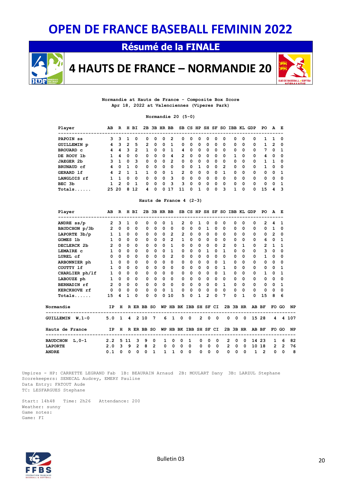**Résumé de la FINALE**



**4 HAUTS DE FRANCE – NORMANDIE 20**



**Normandie at Hauts de France - Composite Box Score Apr 18, 2022 at Valenciennes (Viperes Park)**

**Normandie 20 (5-0)**

| Player                   | AВ | R        | н  | BI.      |              |          |          | 2B 3B HR BB |          |          |          |          |          |             |          |          | SB CS HP SH SF SO IBB KL GDP | PО | A            | E            |
|--------------------------|----|----------|----|----------|--------------|----------|----------|-------------|----------|----------|----------|----------|----------|-------------|----------|----------|------------------------------|----|--------------|--------------|
| PAPOIN <sub>ss</sub>     | 3. | з.       | 1. | $\Omega$ | 0            | 0        | 0        | 2           | 0        | 0        | 0        | 0        | 0        | 0           | 0        | 0        | 0                            |    | 1            | $\mathbf{0}$ |
| GUILLEMIN p              | 4  | 3        | 2  | 5        | $\mathbf{z}$ | 0        | $\Omega$ |             | $\Omega$ | 0        | 0        | 0        | 0        | $\mathbf 0$ | 0        | 0        | 0                            | 1. | 2            | $\mathbf{0}$ |
| <b>BROUARD</b> c         | 4  | 4        | з  | 2        |              | 0        | 0        |             | 4        | 0        | 0        | 0        | 0        | 0           | 0        | 0        | 0                            | 7  | <sup>0</sup> | -1           |
| DE ROOY 1b               |    | 4        | 0  | 0        | $\Omega$     | 0        | $\Omega$ | 4           | 2        | $\Omega$ | 0        | 0        | 0        | $\Omega$    |          | $\Omega$ | 0                            | 4  | $\Omega$     | $\mathbf{0}$ |
| <b>JAEGER 2b</b>         | 3. | 1        | 0  | з        | $\Omega$     | 0        | $\Omega$ | 2           | $\Omega$ | $\Omega$ | 0        | 0        | 0        | $^{\circ}$  | 0        | 0        | 0                            |    | 1            | - 0          |
| <b>BRUNAUD cf</b>        | 4  | $\Omega$ | 1. | $\Omega$ | $\Omega$     | 0        | $\Omega$ | 0           | $\Omega$ | $\Omega$ | 1.       | $\Omega$ | $\Omega$ | 2           | $\Omega$ | $\Omega$ | 0                            | 1  | $\Omega$     | $\mathbf{0}$ |
| GERARD 1f                | 4  | 2        |    |          |              | $\Omega$ | $\Omega$ | 1           | 2        | $\Omega$ | $\Omega$ | 0        | 0        |             | 0        | $\Omega$ | 0                            | 0  | $\Omega$     | -1           |
| LANGLOIS rf              |    |          | 0  | $\Omega$ | $\Omega$     | 0        | $\Omega$ | 3           | $\Omega$ | $\Omega$ | $\Omega$ | $\Omega$ | 0        | $\Omega$    | 0        | $\Omega$ | 0                            | 0  | $\Omega$     | 0            |
| BEC 3b                   | 1. | 2        | 0  |          | 0            | 0        | $\Omega$ | 3           | з        | $\Omega$ | 0        | 0        | 0        | 0           | 0        | 0        | 0                            | 0  | $\Omega$     | -1           |
| $\mathtt{Totals} \ldots$ |    | 25 20    | 8  | 12       | 4            | 0        |          |             |          | 0        |          | 0        | 0        | з           |          | $\Omega$ | 0                            | 15 |              | -3           |
|                          |    |          |    |          |              |          |          |             |          |          |          |          |          |             |          |          |                              |    |              |              |

#### **Hauts de France 4 (2-3)**

|                |                                                                             | -----------------                                    |          |                   |              |              |                          |                     |              |              |                              |              |                   |                         |                |              |                         | R H BI 2B 3B HR BB SB CS HP SH SF SO IBB KL GDP<br>----------------- | PO.            | AE             |              |    |
|----------------|-----------------------------------------------------------------------------|------------------------------------------------------|----------|-------------------|--------------|--------------|--------------------------|---------------------|--------------|--------------|------------------------------|--------------|-------------------|-------------------------|----------------|--------------|-------------------------|----------------------------------------------------------------------|----------------|----------------|--------------|----|
|                | ANDRE ss/p 2 3 1 0                                                          |                                                      |          |                   |              | $\Omega$     | $\Omega$                 | $\Omega$            | $\mathbf{1}$ |              | $2 \t0 \t1$                  |              | $\mathbf{0}$      | $\overline{\mathbf{0}}$ | $\Omega$       | $\Omega$     | $\Omega$                | $\Omega$                                                             |                | $2 \quad 4$    | $\mathbf{1}$ |    |
|                | BAUDCHON p/3b                                                               | 2000                                                 |          |                   |              | $\Omega$     | $\Omega$                 | $\mathbf{0}$        | 0            |              | $\mathbf{0}$                 | 0 0 1 0      |                   |                         | $\Omega$       | $\Omega$     | $\Omega$                | 0                                                                    | $\Omega$       | $\mathbf{1}$   | <sup>0</sup> |    |
|                | LAPORTE $3b/p$ 1 1 0 0                                                      |                                                      |          |                   |              | $\mathbf{0}$ |                          | $0\quad 0\quad 2$   |              |              | 2 0                          | $^{\circ}$   | $\mathbf 0$       | $\overline{\mathbf{0}}$ | $\Omega$       | $\mathbf{0}$ | $^{\circ}$              | 0                                                                    | $\mathbf{0}$   | $\overline{2}$ | $\Omega$     |    |
| GOMES 1b       |                                                                             | $\mathbf{1}$                                         | $\Omega$ | $\Omega$          | $\mathbf{0}$ | $\Omega$     | $\Omega$                 | $\Omega$            | $2^{\circ}$  | $\mathbf{1}$ | $\mathbf 0$                  | $\mathbf{0}$ | $\mathbf{0}$      | $\mathbf{0}$            | $\Omega$       | $\Omega$     | $\Omega$                | 0                                                                    | 6              | $\mathbf{o}$   | 1            |    |
|                | DECLERCK 2b                                                                 | $2^{\circ}$                                          | $\Omega$ | $0\quad 0$        |              | $\Omega$     | $\Omega$                 | $\Omega$            | $\mathbf{1}$ | $\Omega$     | $\mathbf 0$                  | $\Omega$     |                   | $0\quad 0$              | $\overline{2}$ | $\Omega$     | 1                       | 0                                                                    |                | $2 \quad 1$    | 1            |    |
| LEMAIRE C      |                                                                             | $\mathbf{1}$                                         | $\Omega$ |                   | $0\quad 0$   | 0            | $\mathbf{0}$             | $\Omega$            | $\mathbf{1}$ | $\Omega$     | $\mathbf 0$                  | 0            | 1                 | $\overline{\mathbf{0}}$ | $\mathbf{1}$   | 0            | 0                       | 0                                                                    | 3              | $\mathbf 0$    | 0            |    |
|                | LUREL cf                                                                    | $\mathbf 0$                                          | $\Omega$ | $\Omega$          | $\Omega$     | 0            |                          | $0 \quad 0 \quad 2$ |              | $\Omega$     | $\Omega$                     |              | $0\quad 0\quad 0$ |                         | $\Omega$       | 0            | 0                       | 0                                                                    |                | $1 \quad 0$    | 0            |    |
|                | ARBONNIER ph                                                                | $\mathbf{1}$                                         |          | $0\quad 0\quad 0$ |              |              |                          | $0\quad 0\quad 0$   | $\Omega$     |              | $\mathbf{0}$<br>$\mathbf{0}$ | $\mathbf{0}$ |                   | $0\quad 0$              | $\mathbf{1}$   | $\Omega$     | $\Omega$                | 0                                                                    | $\Omega$       | $\mathbf 0$    | 0            |    |
| COUTTY 1f      |                                                                             | $\mathbf{1}$                                         |          | $0\quad 0$        | $\Omega$     | 0            | $\mathbf{0}$             | $\mathbf 0$         | $\Omega$     | $\mathbf{0}$ | $\mathbf 0$                  | $\mathbf 0$  |                   | $0\quad 0$              | $\mathbf{1}$   | 0            | 0                       | 0                                                                    | $\mathbf{0}$   | $\mathbf{0}$   | 1            |    |
|                | CHARLIER ph/lf                                                              | 1000                                                 |          |                   |              |              | $\mathbf{0}$<br>$\Omega$ | $\Omega$            | $\Omega$     |              | $\mathbf{0}$<br>$^{\circ}$   |              |                   | $0\quad 0\quad 0$       | $\mathbf{1}$   | $\Omega$     | $\Omega$                | 0                                                                    | $\mathbf{1}$   | $\Omega$       | $\mathbf{1}$ |    |
|                | LABOUZE ph                                                                  | $\mathbf{1}$                                         |          | $0\quad 0\quad 0$ |              | $\Omega$     | $\Omega$                 | $^{\circ}$          | $\Omega$     | $\mathbf 0$  | 0                            | $^{\circ}$   | $\mathbf 0$       | $\overline{0}$          | $\Omega$       | $\Omega$     | $\Omega$                | 0                                                                    | $\mathbf{0}$   | $\mathbf{0}$   | 0            |    |
|                | <b>BERNADIN</b> rf                                                          |                                                      |          | 2 0 0 0           |              | $\mathbf{o}$ | $\overline{0}$           | $\Omega$            | $\mathbf{0}$ | $\Omega$     |                              | $0\quad 0$   |                   | $0\quad 0$              | $\mathbf{1}$   | $\mathbf 0$  | $\mathbf 0$             | 0                                                                    |                | $0\quad 0$     | 1            |    |
|                | KERCKHOVE rf                                                                | $\mathbf{o}$                                         |          | $0\quad 0\quad 0$ |              | 0            | $\mathbf{0}$             | $\mathbf{0}$        | $\mathbf{1}$ | $\Omega$     | $\mathbf{0}$                 | $\mathbf{o}$ |                   | $0\quad 0$              | $\mathbf{0}$   | $\mathbf 0$  | $\Omega$                | 0                                                                    | $\mathbf{0}$   | $\Omega$       | 0            |    |
|                | Totals                                                                      | 15                                                   | 4        | $\mathbf{1}$      | $\Omega$     | 0            | $\Omega$                 | $\Omega$            | 10           | 5            | $\Omega$                     | $\mathbf{1}$ | $\mathbf{z}$      | $\Omega$                | 7              | $\Omega$     | 1                       | 0                                                                    | 15             | 8              | 6            |    |
| Normandie      |                                                                             | IP H R ER BB SO WP HB BK IBB SH SF CI 2B 3B HR AB BF |          |                   |              |              |                          |                     |              |              |                              |              |                   |                         |                |              |                         |                                                                      |                |                | FO GO        | NP |
|                | GUILLEMIN W,1-0 5.0 1 4 2 10 7 6 1 0 0                                      | ----------------                                     |          |                   |              |              |                          |                     |              |              |                              |              |                   | 2 0 0                   |                | $0\quad 0$   |                         | --------------------------------------<br>0 15 28                    |                |                | 4 4 107      |    |
|                | Hauts de France        IP H R ER BB SO WP HB BK IBB SH SF CI 2B 3B HR AB BF |                                                      |          |                   |              |              |                          |                     |              |              |                              |              |                   |                         |                |              |                         | --------------------------                                           |                |                | FO GO        | NP |
|                | BAUDCHON L,0-1                                                              | 2.2 5 11 3 9 0                                       |          |                   |              |              |                          | 1                   | $\mathbf{0}$ | $\Omega$     | $\mathbf{1}$                 | 0            | $^{\circ}$        | $^{\circ}$              | 2              | 0            |                         | $0$ 14 23                                                            |                | $\mathbf{1}$   | -6           | 82 |
| <b>LAPORTE</b> |                                                                             | 2.0                                                  |          |                   |              | 3 9 2 8 2    |                          | 0                   |              | $0\quad 0$   | $\mathbf 0$                  | 0            | $\mathbf 0$       | $\mathbf 0$             | $\overline{2}$ | $\mathbf 0$  | $\overline{\mathbf{0}}$ |                                                                      | 10 18          | $\overline{2}$ | $\mathbf{2}$ | 76 |
| <b>ANDRE</b>   |                                                                             | 0.1                                                  | $\Omega$ | $\Omega$          | $\Omega$     | $\Omega$     | 1                        | $\mathbf{1}$        | $\mathbf{1}$ | $\Omega$     | $\Omega$                     | $\Omega$     | $\mathbf 0$       | $\Omega$                | $\mathbf{0}$   | $\Omega$     | $\Omega$                | $\mathbf{1}$                                                         | $\overline{2}$ | $\Omega$       | $\Omega$     |    |

 Umpires - HP: CARRETTE LEGRAND Fab 1B: BEAURAIN Arnaud 2B: MOULART Dany 3B: LARZUL Stephane Scorekeepers: SENECAL Audrey, EMERY Pauline Data Entry: FATOUT Aude TC: LESFARGUES Stephane

 Start: 14h48 Time: 2h26 Attendance: 200 Weather: sunny Game notes: Game: FI

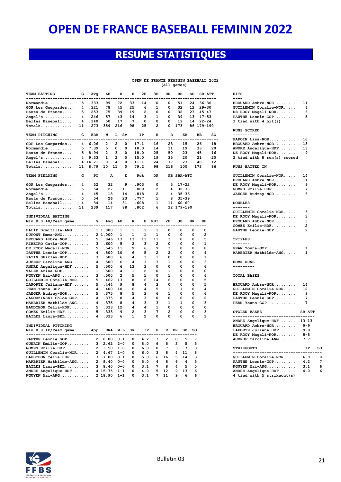### **RESUME STATISTIQUES**

 **OPEN DE FRANCE FEMININ BASEBALL 2022 (All games)**

| TEAM BATTING<br>G<br>----------------------     | Avg              | AB                      | R                       | 2в<br>н                 | Зв                           | <b>HR</b>               | BB                         | so               |                | <b>SB-ATT</b><br>------- | <b>HITS</b><br>$- - - -$                          |                      |            |
|-------------------------------------------------|------------------|-------------------------|-------------------------|-------------------------|------------------------------|-------------------------|----------------------------|------------------|----------------|--------------------------|---------------------------------------------------|----------------------|------------|
| Normandie                                       | 5.333            | 99                      | 72                      | 33<br>14                | 0                            | 0                       | 51                         | 24               | 36–36          |                          | BROUARD Ambre-NOR                                 | 11                   |            |
| 4<br>GOP Les Guepardes                          | .321             | 78                      | 45                      | 25                      | 6<br>1                       | $\Omega$                | 32                         | 12 <sup>12</sup> | $29 - 30$      |                          | GUILLEMIN Coralie-NOR                             | 6                    |            |
| 5<br>Hauts de France                            | .253             | 75                      | 39                      | 19                      | $\overline{2}$<br>0          | $\Omega$                | 32                         |                  | $23$ 45-47     |                          | DE ROOY Magali-NOR                                | 6                    |            |
| Angel's 4 .246                                  |                  | 57                      | 43                      | 14                      | 3<br>$\mathbf{1}$            | 0                       | 39                         |                  | $13$ $47-53$   |                          | PAUTHE Leonie-GOP                                 | 5                    |            |
| Belles Baseball                                 | 4.140            | 50                      | 17                      | 7                       | 0<br>0                       | 0                       | 19                         |                  | 14 22-24       |                          | 3 tied with 4 hit(s)                              |                      |            |
| $Totals$ $11$                                   | .273             | 359                     | 216                     | 98<br>25                | $\overline{2}$               |                         | 0 173                      |                  | 86 179-190     |                          |                                                   |                      |            |
| TEAM PITCHING<br>G                              | <b>ERA</b>       | W                       | L Sv                    | IP                      | н                            | $\mathbb{R}$            |                            | ER               | <b>BB</b>      | <b>SO</b>                | RUNS SCORED<br>-----------                        |                      |            |
| ----------------------------                    |                  | ----<br>$\overline{2}$  | $\overline{2}$<br>0     |                         | 16                           | 23                      |                            | 15               | 26             | ----<br>18               | PAPOIN Lisa-NOR                                   | 16<br>13             |            |
| GOP Les Guepardes                               | 4 6.06<br>5 7.39 | 5                       | 0<br>$\mathbf 0$        | 17.1<br>18.0            | 14                           | 31                      |                            | 19               | 33             | 20                       | BROUARD Ambre-NOR                                 | 13                   |            |
| Normandie<br>Hauts de France                    | 58.94            | $\overline{2}$          | 3<br>0                  | 18.0                    | 25                           | 50                      |                            | 23               | 45             | 16                       | ANDRE Angelique-HDF<br>DE ROOY Magali-NOR         | 9                    |            |
|                                                 | 4 9.33           | 1                       | 2<br>0                  | 15.0                    | 19                           | 35                      |                            | 20               | 21             | 20                       |                                                   |                      |            |
| Angel's<br>Belles Baseball                      | 4 14.21          | $\mathbf 0$             | 4<br>$\mathbf 0$        | 11.1                    | 24                           | 77                      |                            | 23               | 48             | 12                       | 2 tied with 8 run(s) scored                       |                      |            |
| Totals 11 8.79                                  |                  | 10                      | 11<br>0                 | 79.2                    | 98                           | 216                     | 100                        |                  | 173            | 86                       | RUNS BATTED IN                                    |                      |            |
|                                                 |                  |                         |                         |                         |                              |                         |                            |                  |                |                          | --------------                                    |                      |            |
| TEAM FIELDING<br>G<br>------------------------- | PO               | A                       | E                       | Pct                     | DP<br>----                   |                         | PB SBA-ATT<br>------------ |                  |                |                          | GUILLEMIN Coralie-NOR                             | 14                   |            |
|                                                 |                  |                         |                         |                         |                              |                         |                            |                  |                |                          | BROUARD Ambre-NOR                                 | 11                   |            |
| GOP Les Guepardes<br>4                          | 52               | 32                      | 9                       | .903                    | 0                            | 5                       | $17 - 22$                  |                  |                |                          | DE ROOY Magali-NOR                                | 9                    |            |
| 5<br>$Normandie. \ldots \ldots \ldots$          | 54               | 27                      | 11                      | .880                    | 2                            | 4                       | 32-33                      |                  |                |                          | GOMES Emilie-HDF                                  | 7                    |            |
| Angel's<br>4                                    | 45               | 18                      | 14                      | .818                    | $\overline{2}$               |                         | $435 - 36$                 |                  |                |                          | JAEGER Audrey-NOR                                 | 6                    |            |
| -5<br>Hauts de France                           | 54               | 26                      | 23                      | .777                    | $\mathbf{1}$                 |                         | $8, 35 - 39$               |                  |                |                          |                                                   |                      |            |
| 4<br>Belles Baseball                            | 34               | 14                      | 31                      | .608                    | $\mathbf{1}$                 |                         | $11 60 - 60$               |                  |                |                          | <b>DOUBLES</b>                                    |                      |            |
| $Totals$ 11                                     | 239              | 117                     | 88                      | .802                    | 6                            |                         | 32 179-190                 |                  |                |                          | $- - - - - - -$                                   |                      |            |
|                                                 |                  |                         |                         |                         |                              |                         |                            |                  |                |                          | GUILLEMIN Coralie-NOR                             | 6                    |            |
| INDIVIDUAL BATTING                              |                  |                         |                         |                         |                              |                         |                            |                  |                |                          | DE ROOY Magali-NOR                                | 3                    |            |
| Min 0.0 AB/Team game                            | G                |                         | Avg AB                  | R                       | H RBI                        | 2B                      | 3B                         | <b>HR</b>        | <b>BB</b>      |                          | BROUARD Ambre-NOR                                 | 3                    |            |
| --------------------------------                |                  |                         |                         |                         |                              |                         |                            |                  | --             |                          | GOMES Emilie-HDF                                  | $\overline{2}$       |            |
| HALIE Domitille-ANG                             |                  | 1 1.000                 | 1                       | 1                       | 1<br>1                       | 0                       | 0                          | 0                | 0              |                          | PAUTHE Leonie-GOP                                 | $\overline{2}$       |            |
| $DUPONT$ Emma-ANG                               |                  | 2 1.000                 | 1                       | 1                       | 1<br>1                       | $\Omega$                | O                          | $\Omega$         | $\overline{2}$ |                          |                                                   |                      |            |
| BROUARD Ambre-NOR                               | 5                | .846                    | 13                      | 13<br>11                | 11                           | з                       | 0                          | 0                | 5              |                          | <b>TRIPLES</b>                                    |                      |            |
| RIBEIRO Catia-GOP                               | 3                | .600                    | 5                       | $\overline{\mathbf{2}}$ | $\overline{\mathbf{2}}$<br>з | 0                       | 0                          | $\Omega$         | $\mathbf{1}$   |                          | -------                                           |                      |            |
| DE ROOY Magali-NOR                              | 5                | .545                    | 11                      | 9                       | 6<br>9                       | 3                       | 0                          | $\mathbf 0$      | 8              |                          | PEAN Youna-GOP                                    | $\mathbf{1}$         |            |
| PAUTHE Leonie-GOP                               | 4                | .500                    | 10                      | 6                       | 5<br>2                       | $\overline{2}$          | 0                          | 0                | 4              |                          | MARBRIER Mathilde-ANG                             | 1                    |            |
| PATIN Shirley-HDF                               | 3                | .500                    | 6                       | 4                       | 3<br>1                       | 0                       | 0                          | $\Omega$         | 1              |                          |                                                   |                      |            |
| AUBEUF Caroline-ANG                             | 4                | .500                    | 6                       | 4                       | 3<br>3                       | 1                       | 0                          | $\mathbf 0$      | 3              |                          | HOME RUNS                                         |                      |            |
| ANDRE Angelique-HDF                             | 5                | .500                    | 6                       | 13                      | 3<br>0                       | $\Omega$                | 0                          | 0                | 6              |                          | ----------                                        |                      |            |
| TALEB Amina-GOP                                 | $\mathbf{1}$     | .500                    | 4                       | 1                       | $\overline{\mathbf{2}}$<br>0 | 1                       | 0                          | 0                | 0              |                          |                                                   |                      |            |
| NGUYEN Mai-ANG                                  | 3                | .500                    | $\overline{\mathbf{2}}$ | 5                       | 1<br>0                       | 1                       | O                          | 0                | 6              |                          | <b>TOTAL BASES</b>                                |                      |            |
| GUILLEMIN Coralie-NOR                           | 5                | .462                    | 13                      | 8                       | 14<br>6                      | 6                       | 0                          | 0                | 5              |                          | -----------                                       |                      |            |
| $L$ APORTE Juliane-HDF                          | 5                | .444                    | 9                       | 8                       | 4<br>3                       | $\Omega$                | 0                          | $\Omega$         | 5              |                          | BROUARD Ambre-NOR                                 | 14                   |            |
| PEAN Youna-GOP                                  | 4                | .400                    | 10                      | 6                       | 5<br>4                       | 1                       | 1                          | $\Omega$         | 4              |                          | GUILLEMIN Coralie-NOR                             | 12                   |            |
| JAEGER Audrey-NOR                               | 5                | .375                    | 8                       | 5                       | 3<br>6                       | 1                       | 0                          | 0                | 6              |                          | DE ROOY Magali-NOR                                | 9                    |            |
| JAGODZINSKI Chloe-GOP                           | 4                | .375                    | 8                       | 4                       | 3<br>0                       | 0                       | 0                          | 0                | $\overline{2}$ |                          | PAUTHE Leonie-GOP                                 | 7                    |            |
| MARBRIER Mathilde-ANG                           | 4                | .375                    | 8                       | 4                       | 3<br>3                       | 1                       | 1                          | $\Omega$         | 3              |                          | PEAN Youna-GOP                                    | 7                    |            |
| BAUDCHON Celia-HDF                              | 5                | .333                    | 12                      | 4                       | 4<br>1                       | 0                       | 0                          | 0                | 0              |                          |                                                   |                      |            |
| GOMES Emilie-HDF                                | 5                | .333                    | 9                       | $\overline{2}$          | 3<br>7                       | $\overline{\mathbf{2}}$ | 0                          | 0                | з              |                          | STOLEN BASES                                      | <b>SB-ATT</b>        |            |
| BAILES Laura-BEL                                | 4                | .333                    | 6                       | $\mathbf{1}$            | $\overline{2}$<br>0          | 0                       | 0                          | 0                | $\mathbf{1}$   |                          | --------------------------------                  |                      |            |
| INDIVIDUAL PITCHING                             |                  |                         |                         |                         |                              |                         |                            |                  |                |                          | ANDRE Angelique-HDF<br>BROUARD Ambre-NOR          | $13 - 13$<br>$9 - 9$ |            |
| Min 0.8 IP/Team game                            | App              | ERA                     | W-L                     | Sv                      | н<br>IP                      |                         | R ER BB                    | so               |                |                          | LAPORTE Juliane-HDF                               | $9 - 9$              |            |
| -------------------------------                 |                  |                         |                         |                         |                              |                         |                            |                  |                |                          | DE ROOY Magali-NOR                                | $8 - 8$              |            |
| PAUTHE Leonie-GOP                               |                  | 2<br>0.00               | $0 - 1$                 | 0                       | 4.2<br>3                     | $\overline{2}$          | 0                          | 5                | 7              |                          | AUBEUF Caroline-ANG                               | $7 - 7$              |            |
| GUERIN Emilie-GOP                               |                  | 3<br>2.62               | $2 - 0$                 | 0                       | 8.0<br>6                     | 5                       | 3                          | 5                | 5              |                          |                                                   |                      |            |
| $GOMES$ $Emilie-HDF$                            |                  | 2 3.50                  | $1 - 0$                 | 0                       | $6.0$<br>8                   | $7\phantom{.0}$         | 3                          | 7                | 3              |                          | <b>STRIKEOUTS</b>                                 | IP                   | SC         |
| GUILLEMIN Coralie-NOR                           |                  | $2, 4.67, 1-0$          |                         | 0                       | 6.0<br>3                     | 8                       | 4 11                       |                  | 8              |                          | ------------------------------------              |                      |            |
| BAUDCHON Celia-HDF                              |                  | 3 7.00                  | $0 - 1$                 | 0                       | 5.0                          | 6 16                    | 5 <sub>5</sub>             | 14               | з              |                          | GUILLEMIN Coralie-NOR                             | 6.0                  | ε          |
|                                                 |                  |                         |                         |                         | 4                            | 8                       | 6                          | 4                | 5              |                          |                                                   |                      | 7          |
| MARBRIER Mathilde-ANG                           |                  | 2 8.40                  | $0 - 0$<br>$0 - 0$      | 0                       | 5.0<br>3.1<br>7              | 8                       | 4                          | 5                | 5              |                          | PAUTHE Leonie-GOP                                 | 4.2<br>3.1           | 6          |
| BAILES Laura-BEL                                |                  | 3 8.40<br>$4$ 15.75 1-1 |                         | 0<br>0                  | 4.0<br>5                     | 12                      | 9                          | 13               | 6              |                          | NGUYEN Mai-ANG                                    |                      | $\epsilon$ |
| ANDRE Angelique-HDF<br>$NGI IYEN MA1 - ANG$     |                  | $2, 18, 90, 1 - 1$      |                         | 0                       | 3.1<br>$7^{\circ}$           | 11                      | Q                          | 6                |                |                          | ANDRE Angelique-HDF<br>4 tied with 5 strikeout(s) | 4.0                  |            |
|                                                 |                  |                         |                         |                         |                              |                         |                            |                  |                |                          |                                                   |                      |            |

| <b>HITS</b>                                        |                          |
|----------------------------------------------------|--------------------------|
| $---$                                              |                          |
| BROUARD Ambre-NOR                                  | 11                       |
| GUILLEMIN Coralie-NOR                              | -6                       |
| DE ROOY Magali-NOR                                 | 6                        |
| PAUTHE Leonie-GOP                                  | 5                        |
| 3 tied with 4 hit(s)                               |                          |
| RUNS SCORED<br>-----------                         |                          |
|                                                    |                          |
| $PAPOIN Lisa-NOR$                                  | 16                       |
| BROUARD Ambre-NOR                                  | 13                       |
| ANDRE Angelique-HDF                                | 13                       |
| DE ROOY Magali-NOR                                 | 9                        |
| 2 tied with 8 run(s) scored                        |                          |
| RUNS BATTED IN<br>--------------                   |                          |
| GUILLEMIN Coralie-NOR                              | 14                       |
| BROUARD Ambre-NOR                                  | 11                       |
| DE ROOY Magali-NOR                                 | 9                        |
| GOMES Emilie-HDF                                   | 7                        |
| JAEGER Audrey-NOR                                  | 6                        |
|                                                    |                          |
| <b>DOUBLES</b><br>-------                          |                          |
| GUILLEMIN Coralie-NOR                              | 6                        |
| DE ROOY Magali-NOR                                 | 3                        |
| BROUARD Ambre-NOR                                  | 3                        |
| GOMES Emilie-HDF                                   | $\overline{2}$           |
| PAUTHE Leonie-GOP                                  | $\overline{2}$           |
|                                                    |                          |
| <b>TRIPLES</b><br>-------                          |                          |
| PEAN Youna-GOP                                     | 1                        |
| MARBRIER Mathilde-ANG                              | 1                        |
| HOME RUNS                                          |                          |
| .                                                  |                          |
| TOTAL BASES<br>-----------                         |                          |
| BROUARD Ambre-NOR                                  | $14$                     |
| GUILLEMIN Coralie-NOR                              | 12                       |
| DE ROOY Magali-NOR                                 | 9                        |
| PAUTHE Leonie-GOP                                  | 7                        |
| PEAN Youna-GOP                                     | 7                        |
| STOLEN BASES<br>---------------------------------- | <b>SB-ATT</b>            |
| ANDRE Angelique-HDF                                | $13 - 13$                |
| BROUARD Ambre-NOR                                  | $9 - 9$                  |
| LAPORTE Juliane-HDF                                | $9 - 9$                  |
| DE ROOY Magali-NOR                                 | $8 - 8$                  |
| AUBEUF Caroline-ANG                                | $7 - 7$                  |
|                                                    |                          |
| <b>STRIKEOUTS</b>                                  | IP                       |
| ---------<br>GUILLEMIN Coralie-NOR                 | . _ _ _ _ _ _ _ .<br>6.0 |
| PAUTHE Leonie-GOP                                  | 4.2                      |
| NGUYEN Mai-ANG                                     | 3.1                      |
| ANDRE Angelique-HDF                                | 4.0                      |
| 4 tied with 5 strikeout(s)                         |                          |
|                                                    |                          |

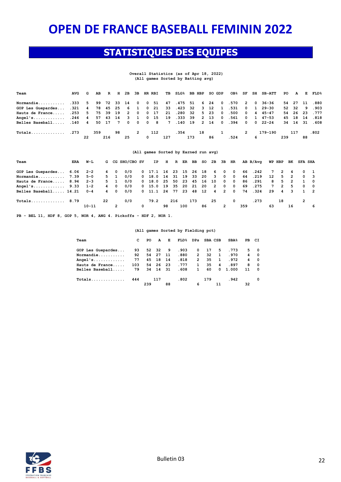### **STATISTIQUES DES EQUIPES**

#### **Overall Statistics (as of Apr 18, 2022) (All games Sorted by Batting avg)**

| Team                                                              | AVG | G  | AB  |     | R H 2B |    | 3B             |   | HR RBI | TB  | $\mathtt{SLG\$}$ | BB HBP |    |        | SO GDP | OB%   | SF                      | SH | <b>SB-ATT</b>                                   | PO  | A        |      | E FLD <sup>§</sup> |
|-------------------------------------------------------------------|-----|----|-----|-----|--------|----|----------------|---|--------|-----|------------------|--------|----|--------|--------|-------|-------------------------|----|-------------------------------------------------|-----|----------|------|--------------------|
| Normandie 333 5 99 72 33 14 0 0 51 47 .475 51 6 24 0 .570         |     |    |     |     |        |    |                |   |        |     |                  |        |    |        |        |       | $\overline{\mathbf{2}}$ |    | 0 36-36                                         |     | 54 27    | - 11 | .880               |
| GOP Les Guepardes .321 4 78 45 25 6 1 0 21 33 .423 32 3 12 1 .531 |     |    |     |     |        |    |                |   |        |     |                  |        |    |        |        |       | $0\quad 1$              |    | 29-30                                           |     | 52 32    |      | 9.903              |
| Hauts de France .253 5 75 39 19 2 0 0 17                          |     |    |     |     |        |    |                |   |        | 21  | .280 32          |        |    | 5 23 0 |        | .500  | $\overline{\mathbf{0}}$ |    | 4 45-47                                         |     | 54 26 23 |      | . 777              |
| Angel's246 4 57 43 14 3 1 0 15 19 .333 39                         |     |    |     |     |        |    |                |   |        |     |                  |        |    | 2 13   |        | 0.561 | $0\quad 1$              |    | 47-53                                           |     | 45 18 14 |      | .818               |
| Belles Baseball .140 4                                            |     |    |     |     |        |    |                |   |        |     |                  |        |    |        |        |       |                         |    | 50 17 7 0 0 0 8 7 .140 19 2 14 0 .394 0 0 22-24 |     | 34 14 31 |      | . 608              |
| $Totals$ 273                                                      |     |    | 359 |     | 98     |    | $\overline{2}$ |   | 112    |     | .354             |        | 18 |        |        |       | $\mathbf{2}$            |    | 179-190                                         |     | 117      |      | .802               |
|                                                                   |     | 22 |     | 216 |        | 25 |                | 0 |        | 127 |                  | 173    |    | 86     |        | .524  |                         | 6  |                                                 | 239 |          | 88   |                    |

#### **(All games Sorted by Earned run avg)**

| Team                       | ERA | W-L       |    |                | G CG SHO/CBO SV |   |                             |    |     |     | IP H R ER BB |    | SO 2B 3B HR |            |                         |     | AB B/Avq |             | WP HBP         | BK                      | <b>SFA SHA</b> |             |
|----------------------------|-----|-----------|----|----------------|-----------------|---|-----------------------------|----|-----|-----|--------------|----|-------------|------------|-------------------------|-----|----------|-------------|----------------|-------------------------|----------------|-------------|
| GOP Les Guepardes 6.06     |     | $2 - 2$   |    | 40             | 0/0             |   | 0 17.1 16 23 15 26 18 6 0 0 |    |     |     |              |    |             |            |                         |     | 66.242   |             | 72             | 4                       |                | $0\quad 1$  |
| Normandie $7.39$           |     | 5-0       |    | 5 1            | 0/0             |   | 0 18.0 14 31 19 33          |    |     |     |              |    | 20 3 0      |            | $\overline{\mathbf{0}}$ |     | 64.219   |             | 12 5 2         |                         |                | $0 \quad 3$ |
| Hauts de France $8.94$ 2-3 |     |           |    | 5 1            | 0/0             |   | 0 18.0 25 50 23 45 16 10    |    |     |     |              |    |             | $0\quad 0$ |                         | 86  | .291     |             | 8 5            | $\overline{2}$          |                | $1 \quad 0$ |
| Angel's 9.33               |     | $1 - 2$   |    | 4 0            | 0/0             |   | 0 15.0 19 35 20 21          |    |     |     |              |    | 20 2 0 0    |            |                         | 69  | .275     | $7^{\circ}$ | $\overline{2}$ | 5.                      |                | $0\quad 0$  |
| Belles Baseball 14.21      |     | $0 - 4$   |    | 4 0            | 0/0             |   | 0 11.1 24 77 23 48 12 4 2 0 |    |     |     |              |    |             |            |                         |     | 74.324   |             | 29 4           | $\overline{\mathbf{3}}$ |                | 1 2         |
| $Totals$ 8.79              |     |           | 22 |                | 0/0             |   | 79.2                        |    | 216 |     | 173          |    | 25          |            | 0                       |     | .273     |             | 18             |                         |                |             |
|                            |     | $10 - 11$ |    | $\overline{2}$ |                 | 0 |                             | 98 |     | 100 |              | 86 |             | 2          |                         | 359 |          | 63          |                | 16                      |                | 6           |

**PB - BEL 11, HDF 8, GOP 5, NOR 4, ANG 4. Pickoffs - HDF 2, NOR 1.** 

#### **(All games Sorted by Fielding pct)**

| Team              | C   | PO. | A        | E  | FLD% DPs SBA CSB |                |      |                         | $SBA\$  | PB CI |            |
|-------------------|-----|-----|----------|----|------------------|----------------|------|-------------------------|---------|-------|------------|
| GOP Les Guepardes | 93  |     | 52 32    | 9  | .903             | $^{\circ}$     | 17   | 5                       | .773    |       | 5 0        |
| Normandie         | 92  |     | 54 27    | 11 | .880             | $\overline{2}$ |      | 32 1                    | .970    |       | 4 0        |
| $Anqel's \ldots$  | 77  |     | 45 18    | 14 | .818             | $\overline{2}$ | - 35 | $\sim$ 1                | .972    |       | 4 0        |
| Hauts de France   | 103 |     | 54 26 23 |    | .777             | $\mathbf{1}$   | 35   | $\overline{\mathbf{4}}$ | .897    | 8     | $^{\circ}$ |
| Belles Baseball   | 79  |     | 34 14 31 |    | .608             | $\mathbf{1}$   | 60   |                         | 0 1.000 | 11    | $^{\circ}$ |
| Totals            | 444 |     | 117      |    | .802             |                | 179  |                         | .942    |       | 0          |
|                   |     | 239 |          | 88 |                  | 6              |      | 11                      |         | 32    |            |

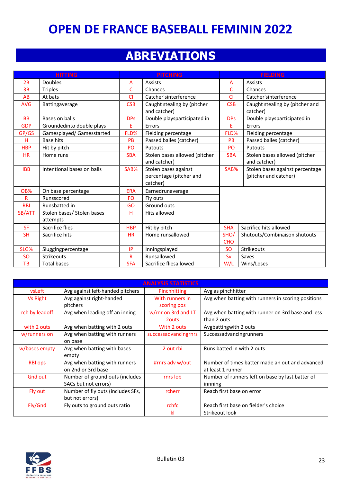### **ABREVIATIONS**

|            | <b>HITTING</b>             |            | <b>PITCHING</b>               | <b>FIELDING</b> |                                 |  |  |  |
|------------|----------------------------|------------|-------------------------------|-----------------|---------------------------------|--|--|--|
| 2B         | <b>Doubles</b>             | A          | <b>Assists</b>                | A               | Assists                         |  |  |  |
| 3B         | <b>Triples</b>             | C          | Chances                       | C               | Chances                         |  |  |  |
| AB         | At bats                    | <b>CI</b>  | Catcher'sinterference         | C1              | Catcher'sinterference           |  |  |  |
| <b>AVG</b> | Battingaverage             | <b>CSB</b> | Caught stealing by (pitcher   | <b>CSB</b>      | Caught stealing by (pitcher and |  |  |  |
|            |                            |            | and catcher)                  |                 | catcher)                        |  |  |  |
| <b>BB</b>  | Bases on balls             | <b>DPs</b> | Double playsparticipated in   | <b>DPs</b>      | Double playsparticipated in     |  |  |  |
| <b>GDP</b> | Groundedinto double plays  | E          | Errors                        | E               | Errors                          |  |  |  |
| GP/GS      | Gamesplayed/ Gamesstarted  | FLD%       | Fielding percentage           | FLD%            | Fielding percentage             |  |  |  |
| н          | Base hits                  | PB         | Passed balles (catcher)       | <b>PB</b>       | Passed balles (catcher)         |  |  |  |
| <b>HBP</b> | Hit by pitch               | PO         | Putouts                       | PO              | Putouts                         |  |  |  |
| <b>HR</b>  | Home runs                  | <b>SBA</b> | Stolen bases allowed (pitcher | <b>SBA</b>      | Stolen bases allowed (pitcher   |  |  |  |
|            |                            |            | and catcher)                  |                 | and catcher)                    |  |  |  |
| <b>IBB</b> | Intentional bases on balls | SAB%       | Stolen bases against          | SAB%            | Stolen bases against percentage |  |  |  |
|            |                            |            | percentage (pitcher and       |                 | (pitcher and catcher)           |  |  |  |
|            |                            |            | catcher)                      |                 |                                 |  |  |  |
| OB%        | On base percentage         | <b>ERA</b> | Earnedrunaverage              |                 |                                 |  |  |  |
| R          | Runsscored                 | FO.        | Fly outs                      |                 |                                 |  |  |  |
| <b>RBI</b> | Runsbatted in              | GO         | Ground outs                   |                 |                                 |  |  |  |
| SB/ATT     | Stolen bases/ Stolen bases | H.         | Hits allowed                  |                 |                                 |  |  |  |
|            | attempts                   |            |                               |                 |                                 |  |  |  |
| <b>SF</b>  | Sacrifice flies            | <b>HBP</b> | Hit by pitch                  | <b>SHA</b>      | Sacrifice hits allowed          |  |  |  |
| <b>SH</b>  | Sacrifice hits             | <b>HR</b>  | Home runsallowed              | SHO/            | Shutouts/Combinaison shutouts   |  |  |  |
|            |                            |            |                               | <b>CHO</b>      |                                 |  |  |  |
| SLG%       | Sluggingpercentage         | IP         | Inningsplayed                 | <b>SO</b>       | Strikeouts                      |  |  |  |
| <b>SO</b>  | <b>Strikeouts</b>          | R          | Runsallowed                   | Sv              | Saves                           |  |  |  |
| TB         | <b>Total bases</b>         | <b>SFA</b> | Sacrifice fliesallowed        | W/L             | Wins/Loses                      |  |  |  |

|                 |                                   | <b>ANALYSIS STATISTICS</b> |                                                    |
|-----------------|-----------------------------------|----------------------------|----------------------------------------------------|
| vsLeft          | Avg against left-handed pitchers  | Pinchhitting               | Avg as pinchhitter                                 |
| <b>Vs Right</b> | Avg against right-handed          | With runners in            | Avg when batting with runners in scoring positions |
|                 | pitchers                          | scoring pos                |                                                    |
| rch by leadoff  | Avg when leading off an inning    | w/rnr on 3rd and LT        | Avg when batting with runner on 3rd base and less  |
|                 |                                   | 2 <sub>outs</sub>          | than 2 outs                                        |
| with 2 outs     | Avg when batting with 2 outs      | With 2 outs                | Avgbattingwith 2 outs                              |
| w/runners on    | Avg when batting with runners     | successadvancingrnrs       | Successadvancingrunners                            |
|                 | on base                           |                            |                                                    |
| w/bases empty   | Avg when batting with bases       | 2 out rbi                  | Runs batted in with 2 outs                         |
|                 | empty                             |                            |                                                    |
| <b>RBI ops</b>  | Avg when batting with runners     | #rnrs adv w/out            | Number of times batter made an out and advanced    |
|                 | on 2nd or 3rd base                |                            | at least 1 runner                                  |
| <b>Gnd out</b>  | Number of ground outs (includes   | rnrs lob                   | Number of runners left on base by last batter of   |
|                 | SACs but not errors)              |                            | innning                                            |
| Fly out         | Number of fly outs (includes SFs, | rcherr                     | Reach first base on error                          |
|                 | but not errors)                   |                            |                                                    |
| Fly/Gnd         | Fly outs to ground outs ratio     | rchfc                      | Reach first base on fielder's choice               |
|                 |                                   | kl                         | Strikeout look                                     |